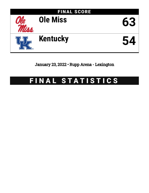

January 23, 2022 • Rupp Arena - Lexington

# FINAL STATISTICS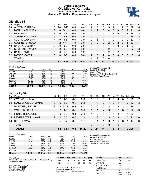# **Official Box Score Ole Miss vs Kentucky Game Totals -- Final Statistics January 23, 2022 at Rupp Arena - Lexington**



# **Ole Miss 63**

| No. | Plaver                 | S  | Pts | FG        | 3FG     | FТ       | OR             | DR       | TR             | PF             | A        | TO            | <b>Blk</b>       | Stl      | Min        | $+/-$          |
|-----|------------------------|----|-----|-----------|---------|----------|----------------|----------|----------------|----------------|----------|---------------|------------------|----------|------------|----------------|
| 00  | AUSTIN, SHAKIRA        |    | 24  | $10 - 18$ | $0-0$   | 4-4      | 2              | 6        | 8              | 5              | 2        |               | 2                | 0        | 27         | 18             |
| 01  | MONK, LASHONDA         | G  | 10  | $3 - 11$  | $0 - 0$ | $4-6$    |                | 2        | 3              | 4              | 3        | 0             | $\mathbf{0}$     | 2        | 21         | 10             |
| 02  | REID, MIMI             | G  | 0   | $0 - 3$   | $0 - 0$ | $0-0$    | 0              | 2        | 2              |                | 3        | 0             | 0                |          | 28         | -3             |
| 03  | JOHNSON, DONNETTA      | G  | 4   | $2 - 3$   | $0 - 0$ | $0 - 0$  | $\Omega$       | 0        | 0              |                | 0        | 1             | 0                | 0        | 15         | 2              |
| 24  | <b>SCOTT, MADISON</b>  | F  | 10  | $5-8$     | $0 - 0$ | $0 - 0$  | 2              | 5        |                | 3              | 2        | 4             | $\mathbf{0}$     | 0        | 30         | 14             |
| 05  | <b>COLLINS, SNUDDA</b> | F. | 12  | $4 - 11$  | $4-9$   | $0 - 0$  | $\Omega$       | 2        | $\overline{2}$ | $\mathcal{P}$  | $\Omega$ | $\mathcal{P}$ | $\Omega$         |          | 32         | $\overline{7}$ |
| 10  | <b>SALARY, DESTINY</b> | G  | 0   | $0 - 0$   | $0 - 0$ | $0 - 0$  | 0              | 0        | 0              |                | 0        | 0             | 0                |          | 2          | -1             |
| 11  | KITCHENS, IYANLA       | F. | 0   | $0 - 0$   | $0 - 0$ | $0 - 0$  | $\overline{2}$ | $\Omega$ | $\overline{2}$ | 2              | $\Omega$ |               | $\Omega$         | $\Omega$ | 7          | -8             |
| 15  | <b>BAKER, ANGEL</b>    | G  | 3   | 1-8       | $0 - 0$ | $1-2$    | $\overline{2}$ | 3        | 5              | $\overline{2}$ | 5        | 2             | 0                | 2        | 28         | 12             |
| 32  | MCGEE, CAITLIN         | F  | 0   | $0 - 3$   | $0 - 0$ | $0 - 0$  | $\overline{2}$ | 0        | $\overline{2}$ | 0              | $\Omega$ | 0             | 0                | 0        | 8          | -6             |
|     | <b>TEAM</b>            |    |     |           |         |          | 1              | 2        | 3              | 0              |          | 2             |                  |          |            |                |
|     | <b>TOTALS</b>          |    | 63  | 25-65     | $4 - 9$ | $9 - 12$ | 12             | 22       | 34             | 21             | 15       | 13            | $\boldsymbol{P}$ |          | <b>200</b> |                |

| <b>Shooting By Period</b> |           |       |         |       |          |       |
|---------------------------|-----------|-------|---------|-------|----------|-------|
| Period                    | FG        | FG%   | 3FG     | 3FG%  | FT       | FT%   |
| 1st Qtr                   | $7-19$    | 37%   | $3 - 4$ | 75%   | $1 - 1$  | 100%  |
| 2nd Qtr                   | $5 - 19$  | 26%   | $0 - 2$ | 00%   | $0 - 0$  | 0%    |
| 3rd Qtr                   | $7 - 14$  | 50%   | $1 - 1$ | 100%  | $3 - 4$  | 75%   |
| 4th Qtr                   | $6 - 13$  | 46%   | $0 - 2$ | 00%   | $5 - 7$  | 71%   |
| 1st Half                  | $12 - 38$ | 32%   | $3-6$   | 50%   | $1 - 1$  | 100%  |
| 2nd Half                  | 13-27     | 48%   | $1 - 3$ | 33%   | $8 - 11$ | 73%   |
| Game                      | 25-65     | 38.5% | 4-9     | 44.4% | $9 - 12$ | 75.0% |

*Deadball Rebounds:* 4,0 *Last FG:* 4th-00:31 *Biggest Run:* 11-0 *Largest lead:* By 12 at 1st-04:16 *Technical Fouls:* None.

# **Kentucky 54**

|    | No. Player             | S. | Pts | FG.      | 3FG     | FТ      | OR.          | DR.            | TR             | PF.            |              | A TO          | <b>BIK</b>     | Stl            | Min             | $+/-$ |
|----|------------------------|----|-----|----------|---------|---------|--------------|----------------|----------------|----------------|--------------|---------------|----------------|----------------|-----------------|-------|
| 00 | OWENS, OLIVIA          | C. | 2   | $1-5$    | $0-0$   | $0 - 0$ | 1            | 5              | 6              | 3              | 1.           | 4             | 0              | 0              | -25             | $-7$  |
|    | 03 MASSENGILL, JAZMINE | G  | 6   | $3-6$    | $0 - 0$ | $0 - 2$ |              |                | 2              | $\overline{4}$ | 2            | 1             | $\overline{1}$ |                | 0 <sub>33</sub> | $-13$ |
|    | 10 HOWARD, RHYNE       | G. |     | 24 9-23  | $0 - 3$ | $6 - 7$ | $\mathbf{0}$ | 10             | 10             | 3              | 1            | 3             | 3              | $\overline{1}$ | -39             | $-11$ |
| 11 | <b>WALKER, JADA</b>    | G  | 7   | $1 - 8$  | $0 - 2$ | $5-6$   |              | $\overline{1}$ | 2              | 3              | $\Omega$     | 2             | $\overline{0}$ | $\overline{0}$ | - 32            | $-3$  |
|    | 12 HUNT, TREASURE      | G  | 9   | $3-9$    | $0 - 1$ | 3-4     | 4            | 2              | -6             | 1.             | $\mathbf{1}$ | 3             | -1             |                | 1 33            | $-1$  |
|    | 21 LEVERETTER, NYAH    | F. |     | $0 - 0$  | $0 - 0$ | $1 - 2$ | 1.           | 3              | $\overline{4}$ | 3              | $\Omega$     | $\mathcal{P}$ | 2              | $\Omega$       | - 23            | $-10$ |
| 34 | KING, EMMA             | G. | 5   | $2 - 2$  | $0 - 0$ | $1 - 1$ | $\Omega$     |                |                | $\Omega$       | 1            | 1             |                | 1              | -17             | - 0   |
|    | <b>TEAM</b>            |    |     |          |         |         |              | 1              | 3              | - 0            |              | 2             |                |                |                 |       |
|    | <b>TOTALS</b>          |    |     | 54 19-53 | $0 - 6$ | $16-22$ | 10           | 24             | 34             | 17             | 6            | 18            |                |                | <b>3200</b>     |       |

| <b>Shooting By Period</b> |           |       |         |       |           |       | Dead        |
|---------------------------|-----------|-------|---------|-------|-----------|-------|-------------|
| Period                    | FG        | FG%   | 3FG     | 3FG%  | FT        | FT%   | Last        |
| 1st Qtr                   | $5 - 11$  | 45%   | $0 - 0$ | 0%    | $3-4$     | 75%   | <b>Bigg</b> |
| 2nd Qtr                   | $3 - 15$  | 20%   | $0 - 2$ | 00%   | $6 - 10$  | 60%   | Larg        |
| 3rd Qtr                   | $7 - 11$  | 64%   | $0 - 1$ | 00%   | $3-3$     | 100%  | Tech        |
| 4th Qtr                   | $4 - 16$  | 25%   | $0 - 3$ | 00%   | $4 - 5$   | 80%   |             |
| 1st Half                  | $8 - 26$  | 31%   | $0 - 2$ | 00%   | $9 - 14$  | 64%   |             |
| 2nd Half                  | $11 - 27$ | 41%   | $0 - 4$ | 00%   | $7-8$     | 88%   |             |
| Game                      | 19-53     | 35.8% | 0-6     | 00.0% | $16 - 22$ | 72.7% |             |

| Deadball Rebounds: 8,3  |
|-------------------------|
| Last FG: 4th-00:55      |
| Biggest Run: 8-0        |
| Largest lead: By 0 at - |
| Technical Fouls: None.  |
|                         |

| Game Notes:                                                              | <b>Score</b> |             |     | 1st 2nd 3rd 4th TOT |
|--------------------------------------------------------------------------|--------------|-------------|-----|---------------------|
| Officials: Beverly Roberts, Gina Cross, Natasha Camy<br>Attendance: 5204 | UM           | 18 10 18 17 |     | -63                 |
|                                                                          | UK           | 13 12 17    | -12 | 54                  |

Start Time: **12:02 PM ET** End Time: **02:11 PM ET** Game Duration: **2:08** Conference Game;

**UM led for 38:42. UK led for 0:00. Game was tied for 1:16.** Times tied: **0** Lead Changes: **0**

| <b>Points</b>     | UM             | UK             |
|-------------------|----------------|----------------|
| In the Paint      | 34             | 24             |
| Off Turns         | 20             | 11             |
| 2nd Chance        | 9              | 12             |
| <b>Fast Break</b> |                | 3              |
| Bench             | 15             | 6              |
| Per Poss          | 0.913<br>30/69 | 0.771<br>27/70 |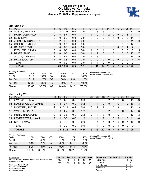# **Official Box Score Ole Miss vs Kentucky First Half Statistics Only January 23, 2022 at Rupp Arena - Lexington**



# **Ole Miss 28**

| No. | Plaver                 | S  | <b>Pts</b> | FG.      | 3FG     | <b>FT</b> | <b>OR</b>      | <b>DR</b> | TR.            | PF             | A | TO       | <b>B</b> lk | Stl      | Min          | $+/-$       |
|-----|------------------------|----|------------|----------|---------|-----------|----------------|-----------|----------------|----------------|---|----------|-------------|----------|--------------|-------------|
| 00  | <b>AUSTIN, SHAKIRA</b> | С  | 8          | $4 - 10$ | $0 - 0$ | $0-0$     | 2              | 3         | 5              | 2              | 0 |          |             | 0        | 12           | 10          |
| 01  | MONK, LASHONDA         | G  | 5          | $2 - 7$  | $0 - 0$ | $1 - 1$   |                | 0         |                | $\overline{2}$ | 2 | 0        | 0           |          | 11           | 4           |
| 02  | REID, MIMI             | G  | 0          | $0 - 2$  | $0 - 0$ | $0 - 0$   | 0              | 2         | $\overline{2}$ |                |   | 0        | 0           | 0        | 14           | -4          |
| 03  | JOHNSON, DONNETTA      | G  | 2          | $1 - 2$  | $0 - 0$ | $0 - 0$   | 0              | 0         | 0              |                | 0 |          | 0           | 0        | 11           | $\mathbf 0$ |
| 05  | <b>COLLINS, SNUDDA</b> | F  | 9          | $3 - 7$  | 3-6     | $0 - 0$   | 0              | 0         | 0              |                | 0 |          | 0           | 0        | 12           | 1           |
| 10  | <b>SALARY, DESTINY</b> | G  | $\Omega$   | $0 - 0$  | $0 - 0$ | $0 - 0$   | 0              | 0         | 0              |                | 0 | $\Omega$ | $\Omega$    |          | 2            | -1          |
| 11  | KITCHENS, IYANLA       | F  | $\Omega$   | $0 - 0$  | $0 - 0$ | $0 - 0$   | 1              | $\Omega$  |                | 1              | 0 | 1        | $\Omega$    | 0        | 5            | -5          |
| 15  | <b>BAKER, ANGEL</b>    | G  | $\Omega$   | $0 - 3$  | $0 - 0$ | $0 - 0$   |                | 2         | 3              | 1              | 3 | 1        | $\Omega$    | 0        | 13           | 7           |
| 24  | <b>SCOTT, MADISON</b>  | F  | 4          | $2 - 4$  | $0 - 0$ | $0 - 0$   |                | 3         | 4              |                |   |          | 0           | 0        | 16           | 9           |
| 32  | MCGEE, CAITLIN         | F. | $\Omega$   | $0 - 3$  | $0 - 0$ | $0 - 0$   | $\overline{2}$ | $\Omega$  | $\overline{2}$ | 0              | 0 | $\Omega$ | $\Omega$    | $\Omega$ | 4            | -6          |
|     | <b>TEAM</b>            |    | 0          | $0 - 0$  | $0 - 0$ | $0 - 0$   |                | 1         | 2              | $\Omega$       | 0 |          | $\Omega$    | $\Omega$ | $\mathbf{0}$ |             |
|     | <b>TOTALS</b>          |    | 28         | 12-38    | 3-6     | $1 - 1$   | 9              | 11        | 20             | 11             |   |          | 2           | 2        | 100          |             |

| <b>Shooting By Period</b><br>Period | FG        | FG%   | 3FG     | 3FG%  | FT       | FT%   |
|-------------------------------------|-----------|-------|---------|-------|----------|-------|
| 1st Otr                             | 7-19      | 37%   | 3-4     | 75%   | 1-1      | 100%  |
| 2nd Otr                             | $5 - 19$  | 26%   | $0 - 2$ | 00%   | $0 - 0$  | $0\%$ |
| 1st Half                            | $12 - 38$ | 32%   | 3-6     | 50%   | $1 - 1$  | 100%  |
| Game                                | 25-65     | 38.5% | 4-9     | 44.4% | $9 - 12$ | 75.0% |

# **Kentucky 25**

|    | No. Player          | S. | Pts      | FG       | 3FG     | <b>FT</b> | <b>OR</b>     | <b>DR</b>    | TR.          | PF.         |              | A TO          | <b>Blk</b> | Stl      | <b>Min</b>               | $+/-$ |
|----|---------------------|----|----------|----------|---------|-----------|---------------|--------------|--------------|-------------|--------------|---------------|------------|----------|--------------------------|-------|
| 00 | OWENS, OLIVIA       | C  | 2        | $1 - 3$  | $0 - 0$ | $0 - 0$   | 0             | 3            | 3            | 2           |              | 2             | 0          | 0        | 13                       | -3    |
| 03 | MASSENGILL, JAZMINE | G. | 4        | $2 - 4$  | $0 - 0$ | $0 - 2$   |               |              | 2            | $\Omega$    |              | $\Omega$      |            | $\Omega$ | 16                       | -3    |
| 10 | HOWARD, RHYNE       | G  | 9        | $2 - 11$ | $0 - 2$ | $5-6$     | 0             |              |              | 1           | $\mathbf{0}$ | 3             |            |          | 20                       | -3    |
| 11 | <b>WALKER, JADA</b> | G. | 3        | $1 - 2$  | $0 - 0$ | $1 - 2$   | $\Omega$      | $\mathbf{0}$ | $\mathbf{0}$ | 2           | $\mathbf{0}$ | $\mathcal{P}$ | $\Omega$   | $\Omega$ | -14                      | -3    |
|    | 12 HUNT, TREASURE   | G  | 6        | -2-6     | $0 - 0$ | $2 - 2$   | $\mathcal{P}$ | 1            | 3            | $\Omega$    | 1            | $\Omega$      |            |          | 16                       | -3    |
|    | 21 LEVERETTER, NYAH | F. | 1        | $0 - 0$  | $0 - 0$ | $1 - 2$   |               | 1            | 2            | $\mathbf 1$ | $\mathbf{0}$ | 2             | 2          | $\Omega$ | 11                       | -6    |
| 34 | KING, EMMA          | G  | $\Omega$ | $0 - 0$  | $0 - 0$ | $0 - 0$   | 0             |              |              | $\Omega$    | 1            | 0             | 0          |          | 10                       | 0     |
|    | <b>TEAM</b>         |    | 0        | $0 - 0$  | $0 - 0$ | $0 - 0$   |               |              | 2            | $\mathbf 0$ | 0            | 1             | $\Omega$   | $\Omega$ | $\overline{\phantom{0}}$ |       |
|    | <b>TOTALS</b>       |    |          | 25 8-26  | $0 - 2$ | $9 - 14$  | 5             | 15           | 20           | 6           | 4            | 10            | 5          |          | 3 100                    |       |

| Shooting By Period<br>Period | FG       | FG%   | 3FG     | 3FG%   | FT       | FT%   |
|------------------------------|----------|-------|---------|--------|----------|-------|
| 1st Otr                      | $5-11$   | 45%   | 0-0     | 0%     | $3-4$    | 75%   |
| 2nd Qtr                      | $3 - 15$ | 20%   | $0 - 2$ | $00\%$ | $6-10$   | 60%   |
| 1st Half                     | $8 - 26$ | 31%   | $0 - 2$ | $00\%$ | $9 - 14$ | 64%   |
| Game                         | 19-53    | 35.8% | Ი-Ნ     | 00.0%  | 16-22    | 72 7% |

*Deadball Rebounds:* 8,3 *Last FG Half:* UK 2nd-02:18

*Deadball Rebounds:* 4,0 *Last FG Half:* UM 2nd-01:42

| Game Notes:                                                              | <b>Score</b> | 1st. | 2nd | 3rd | 4th | <b>TOT</b> | <b>Points from (This Period)</b> | <b>UM UK</b> |    |
|--------------------------------------------------------------------------|--------------|------|-----|-----|-----|------------|----------------------------------|--------------|----|
| Officials: Beverly Roberts, Gina Cross, Natasha Camy<br>Attendance: 5204 | UM           | 18   |     | 18  |     | 63         | In the Paint                     | 14           | 12 |
|                                                                          | UK           | 13   |     |     |     | 54         | Off Turns                        |              |    |
| Start Time: 12:02 PM ET                                                  |              |      |     |     |     |            | 2nd Chance                       |              |    |
| End Time: 02:11 PM ET<br>Game Duration: 2:08                             |              |      |     |     |     |            | Fast Break                       | 5.           |    |
| Conference Game:                                                         |              |      |     |     |     |            | Bench                            |              |    |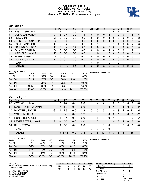# **Official Box Score Ole Miss vs Kentucky First Quarter Statistics Only January 23, 2022 at Rupp Arena - Lexington**



# **Ole Miss 18**

| No. | Player                 | S | <b>Pts</b> | FG      | 3FG     | <b>FT</b> | <b>OR</b> | <b>DR</b>    | TR | PF | A        | TO       | <b>Blk</b> | <b>Stl</b>    | Min | $+/-$ |
|-----|------------------------|---|------------|---------|---------|-----------|-----------|--------------|----|----|----------|----------|------------|---------------|-----|-------|
| 00  | <b>AUSTIN, SHAKIRA</b> | С | 4          | $2 - 7$ | $0-0$   | $0 - 0$   |           |              | 2  | 0  | 0        |          |            | 0             |     | 8     |
| 01  | MONK, LASHONDA         | G | 5          | $2 - 4$ | $0 - 0$ | $1 - 1$   | 0         | 0            | 0  |    |          | 0        | 0          |               | 8   | 6     |
| 02  | REID, MIMI             | G | 0          | $0 - 0$ | $0 - 0$ | $0 - 0$   | 0         | 0            | 0  |    |          | O        | 0          | 0             | 5   | -2    |
| 03  | JOHNSON, DONNETTA      | G | 0          | $0 - 0$ | $0 - 0$ | $0 - 0$   | $\Omega$  | 0            | 0  |    | $\Omega$ | 0        | 0          | $\mathbf{0}$  | 5   | 5     |
| 24  | <b>SCOTT, MADISON</b>  | F | 0          | $0 - 2$ | $0 - 0$ | $0 - 0$   | $\Omega$  |              | 1  | 0  |          |          | 0          | $\Omega$      | 7   | 8     |
| 05  | <b>COLLINS, SNUDDA</b> | F | 9          | $3 - 4$ | $3 - 4$ | $0 - 0$   | $\Omega$  | $\Omega$     | 0  | 0  | $\Omega$ | 0        | 0          | $\Omega$      | 5   | 0     |
| 10  | <b>SALARY, DESTINY</b> | G | 0          | $0 - 0$ | $0 - 0$ | $0 - 0$   | $\Omega$  | $\Omega$     | 0  |    | $\Omega$ | $\Omega$ | 0          |               | 2   | -1    |
| 11  | KITCHENS, IYANLA       | F | 0          | $0 - 0$ | $0 - 0$ | $0 - 0$   |           | 0            | 1  | 0  | $\Omega$ | 0        | 0          | $\mathbf{0}$  | 3   | $-3$  |
| 15  | <b>BAKER, ANGEL</b>    | G | 0          | $0 - 2$ | $0 - 0$ | $0 - 0$   | 0         | 0            | 0  |    |          | 0        | 0          | 0             | 5   | 7     |
| 32  | MCGEE, CAITLIN         | F | 0          | $0 - 0$ | $0 - 0$ | $0 - 0$   | $\Omega$  | 0            | 0  | 0  | $\Omega$ | 0        | 0          | $\mathbf{0}$  | 3   | $-3$  |
|     | TEAM                   |   |            |         |         |           | 1         | 0            | 1  | 0  |          | 0        |            |               |     |       |
|     | <b>TOTALS</b>          |   | 18         | $7-19$  | $3 - 4$ | 1-1       | 3         | $\mathbf{2}$ | 5  | 5  | 4        | 2        |            | $\mathcal{P}$ | 50  |       |

| <b>Shooting By Period</b><br>Period | FG        | FG%   | 3FG     | 3FG%  | FT       | FT%   | Deadball Rebounds: 4,0 |
|-------------------------------------|-----------|-------|---------|-------|----------|-------|------------------------|
| 1st Qtr                             | 7-19      | 37%   | $3 - 4$ | 75%   | 1-1      | 100%  |                        |
| 2nd Qtr                             | $5 - 19$  | 26%   | $0 - 2$ | 00%   | $0 - 0$  | 0%    |                        |
| 1st Half                            | $7 - 19$  | 37%   | $3 - 4$ | 75%   | 1-1      | 100%  |                        |
| 1st Half                            | 12-38     | 32%   | $3-6$   | 50%   | $1 - 1$  | 100%  |                        |
| Game                                | $25 - 65$ | 38.5% | $4-9$   | 44.4% | $9 - 12$ | 75.0% |                        |

# **Kentucky 13**

| No. | Plaver               | S. | Pts            | <b>FG</b> | 3FG     | <b>FT</b> | OR       | <b>DR</b>      | <b>TR</b>     | <b>PF</b>      | $\mathsf{A}$ | TO       | <b>Blk</b>     | Stl            | Min | $+/-$ |
|-----|----------------------|----|----------------|-----------|---------|-----------|----------|----------------|---------------|----------------|--------------|----------|----------------|----------------|-----|-------|
| 00  | <b>OWENS, OLIVIA</b> | C. | 2              | $1 - 2$   | $0 - 0$ | 0-0       | 0        | 2              | 2             |                | 0            |          | 0              | 0              | 6   | -6    |
| 03  | MASSENGILL, JAZMINE  | G  | 2              | $1 - 2$   | $0 - 0$ | $0 - 0$   | 0        | 0              | $\Omega$      | 0              |              | 0        | 1              | 0              | 9   | $-2$  |
| 10  | HOWARD, RHYNE        | G  | 4              | $1 - 3$   | $0 - 0$ | $2 - 2$   | $\Omega$ | 5              | 5             | 1              | 0            | 3        | 1              | $\Omega$       | 10  | -5    |
| 11  | <b>WALKER, JADA</b>  | G  | 1              | $0 - 0$   | $0 - 0$ | $1 - 2$   | 0        | $\overline{0}$ | $\Omega$      | $\overline{0}$ | $\Omega$     | 1        | $\overline{0}$ | $\overline{0}$ | 8   | $-2$  |
|     | 12 HUNT, TREASURE    | G  | $\overline{4}$ | $2 - 4$   | $0-0$   | $0-0$     |          |                | $\mathcal{P}$ | $\Omega$       |              | 0        | $\Omega$       |                | 9   | 2     |
|     | 21 LEVERETTER, NYAH  | F. | $\Omega$       | $0 - 0$   | $0 - 0$ | $0-0$     |          | 0              |               | 1              | 0            | 2        | 1              | $\Omega$       | 5   | -6    |
| 34  | KING, EMMA           | G  | $\Omega$       | $0 - 0$   | $0 - 0$ | $0-0$     | $\Omega$ | $\Omega$       | $\Omega$      | $\Omega$       |              | $\Omega$ | $\Omega$       | $\Omega$       | -3  | -6    |
|     | <b>TEAM</b>          |    |                |           |         |           | 0        | $\Omega$       | $\Omega$      | 0              |              |          |                |                |     |       |
|     | <b>TOTALS</b>        |    |                | 13 5-11   | 0-0     | $3 - 4$   | 2        | 8              | 10            | 3              | 3            | 8        | 3              |                | 50  |       |

| <b>Shooting By Period</b><br>Period | FG       | FG%        | 3FG     | 3FG%   | FT        | FT%   | Deadball Rebounds: 8,3 |
|-------------------------------------|----------|------------|---------|--------|-----------|-------|------------------------|
| 1st Qtr                             | $5 - 11$ | 45%        | $0 - 0$ | 0%     | 3-4       | 75%   |                        |
| 2nd Qtr                             | $3 - 15$ | <b>20%</b> | $0 - 2$ | $00\%$ | $6 - 10$  | 60%   |                        |
| 1st Half                            | $5 - 11$ | 45%        | $0 - 0$ | 0%     | $3 - 4$   | 75%   |                        |
| 1st Half                            | $8 - 26$ | 31%        | $0 - 2$ | 00%    | $9 - 14$  | 64%   |                        |
| Game                                | 19-53    | 35.8%      | $0 - 6$ | 00.0%  | $16 - 22$ | 72.7% |                        |

| Game Notes:                                                              | Score | 1st l | 2nd | 3rd | 4th | TOT | <b>Points (This Period)</b> | UM            | <b>UK</b>     |
|--------------------------------------------------------------------------|-------|-------|-----|-----|-----|-----|-----------------------------|---------------|---------------|
| Officials: Beverly Roberts, Gina Cross, Natasha Camy<br>Attendance: 5204 | UM    | 18    | 10  | 18  |     | 63  | In the Paint                |               | 6             |
|                                                                          | UK    | 13    |     |     |     | 54  | Off Turns                   |               |               |
| Start Time: 12:02 PM ET                                                  |       |       |     |     |     |     | 2nd Chance                  |               |               |
| End Time: 02:11 PM ET<br>Game Duration: 2:08                             |       |       |     |     |     |     | <b>Fast Break</b>           |               |               |
| Conference Game;                                                         |       |       |     |     |     |     | Bench                       |               |               |
|                                                                          |       |       |     |     |     |     | Per Poss                    | 1.000<br>8/18 | 0.684<br>7/19 |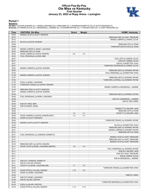# **Official Play-By-Play Ole Miss vs Kentucky First Quarter January 23, 2022 at Rupp Arena - Lexington**



### **Period 1**

<mark>Starters:</mark><br>Ole Miss: 0 AUSTIN,SHAKIRA (C); 1 MONK,LASHONDA (G); 2 REID,MIMI (G); 3 JOHNSON,DONNETTA (G); 24 SCOTT,MADISON (F);<br>**Kentucky**: 00 OWENS,OLIVIA (C); 3 MASSENGILL,JAZMINE (G); 10 HOWARD,RHYNE (G); 11 WALKER,JADA

| Time  | <b>VISITORS: Ole Miss</b>              | <b>Score</b> | <b>Margin</b>   | <b>HOME: Kentucky</b>                  |
|-------|----------------------------------------|--------------|-----------------|----------------------------------------|
| 09:40 | MISSED LAYUP by SCOTT, MADISON         |              |                 |                                        |
| 09:37 |                                        |              |                 | REBOUND (DEF) by HUNT, TREASURE        |
| 09:12 |                                        |              |                 | MISSED JUMPER by OWENS, OLIVIA         |
| 09:12 | BLOCK by AUSTIN, SHAKIRA               |              |                 |                                        |
| 09:09 |                                        |              |                 | REBOUND (OFF) by TEAM                  |
| 09:09 |                                        |              |                 | TURNOVER (SHOTCLOCK) by TEAM           |
| 08:56 | MISSED JUMPER by MONK, LASHONDA        |              |                 |                                        |
| 08:53 | REBOUND (OFF) by TEAM                  |              |                 |                                        |
| 08:44 | GOOD! JUMPER by AUSTIN, SHAKIRA        | $0 - 2$      | V <sub>2</sub>  |                                        |
| 08:33 | FOUL (PERSONAL) by REID, MIMI          |              |                 |                                        |
| 08:21 |                                        |              |                 | FOUL (OFF) by OWENS, OLIVIA            |
| 08:21 |                                        |              |                 | SUB OUT: OWENS, OLIVIA                 |
| 08:21 |                                        |              |                 | SUB IN: LEVERETTER, NYAH               |
| 08:21 |                                        |              |                 | TURNOVER (OFFENSIVE) by OWENS, OLIVIA  |
| 08:04 | MISSED JUMPER by AUSTIN, SHAKIRA       |              |                 |                                        |
| 08:02 |                                        |              |                 | REBOUND (DEF) by HOWARD, RHYNE         |
| 07:53 |                                        |              |                 | FOUL (PERSONAL) by LEVERETTER, NYAH    |
| 07:39 | MISSED JUMPER by AUSTIN, SHAKIRA       |              |                 |                                        |
| 07:37 |                                        |              |                 | REBOUND (DEF) by HOWARD, RHYNE         |
| 07:35 |                                        |              |                 | TURNOVER (LOSTBALL) by HOWARD, RHYNE   |
| 07:35 | STEAL by MONK, LASHONDA                |              |                 |                                        |
| 07:32 | TURNOVER (TRAVEL) by AUSTIN, SHAKIRA   |              |                 |                                        |
| 07:03 |                                        |              |                 | MISSED JUMPER by MASSENGILL, JAZMINE   |
| 07:00 | REBOUND (DEF) by SCOTT, MADISON        |              |                 |                                        |
| 06:41 | MISSED JUMPER by AUSTIN, SHAKIRA       |              |                 |                                        |
| 06:38 |                                        |              |                 | REBOUND (DEF) by HOWARD, RHYNE         |
| 06:26 | FOUL (PERSONAL) by MONK, LASHONDA      |              |                 |                                        |
| 06:26 |                                        |              |                 | SUB OUT: MASSENGILL, JAZMINE           |
| 06:26 |                                        |              |                 | SUB IN: KING, EMMA                     |
| 06:26 | SUB OUT: REID, MIMI                    |              |                 |                                        |
| 06:26 | SUB IN: BAKER, ANGEL                   |              |                 |                                        |
| 06:26 |                                        |              |                 | MISSED FT by WALKER, JADA              |
| 06:26 |                                        |              |                 | REBOUND (OFF) by TEAM                  |
| 06:26 |                                        | $1 - 2$      | V <sub>1</sub>  | GOOD! FT by WALKER, JADA               |
| 06:00 | GOOD! JUMPER by AUSTIN, SHAKIRA [PNT]  | $1 - 4$      | $V_3$           |                                        |
| 06:00 | ASSIST by SCOTT, MADISON               |              |                 |                                        |
| 05:54 |                                        |              |                 | TURNOVER (TRAVEL) by HOWARD, RHYNE     |
| 05:40 | MISSED LAYUP by SCOTT, MADISON         |              |                 |                                        |
| 05:40 |                                        |              |                 | BLOCK by LEVERETTER, NYAH              |
| 05:35 |                                        |              |                 | REBOUND (DEF) by HOWARD, RHYNE         |
| 05:31 |                                        |              |                 | MISSED JUMPER by HOWARD, RHYNE         |
| 05:31 |                                        |              |                 | REBOUND (OFF) by TEAM                  |
| 05:31 | FOUL (PERSONAL) by JOHNSON, DONNETTA   |              |                 |                                        |
| 05:21 |                                        |              |                 | MISSED LAYUP by HUNT, TREASURE         |
| 05:17 |                                        |              |                 | REBOUND (OFF) by HUNT, TREASURE        |
| 05:17 |                                        |              |                 | MISSED LAYUP by HUNT, TREASURE         |
| 05:16 | REBOUND (DEF) by AUSTIN, SHAKIRA       |              |                 |                                        |
| 05:11 | GOOD! LAYUP by MONK, LASHONDA [FB/PNT] | $1-6$        | V <sub>5</sub>  |                                        |
| 05:11 |                                        |              |                 | FOUL (PERSONAL) by HOWARD, RHYNE       |
| 05:11 |                                        |              |                 | SUB OUT: WALKER, JADA                  |
| 05:11 |                                        |              |                 | SUB OUT: HUNT, TREASURE                |
| 05:11 |                                        |              |                 | SUB IN: OWENS, OLIVIA                  |
| 05:11 |                                        |              |                 | SUB IN: MASSENGILL, JAZMINE            |
| 05:11 | SUB OUT: JOHNSON, DONNETTA             |              |                 |                                        |
| 05:11 | SUB IN: COLLINS, SNUDDA                |              |                 |                                        |
| 05:11 | GOOD! FT by MONK, LASHONDA [FB]        | $1 - 7$      | $V_6$           |                                        |
| 05:00 |                                        |              |                 | TURNOVER (TRAVEL) by LEVERETTER, NYAH  |
| 04:53 | GOOD! 3PTR by COLLINS, SNUDDA          | $1 - 10$     | V <sub>9</sub>  |                                        |
| 04:53 | ASSIST by MONK, LASHONDA               |              |                 |                                        |
| 04:52 |                                        |              |                 | TIMEOUT 30SEC                          |
| 04:48 | SUB OUT: MONK, LASHONDA                |              |                 |                                        |
| 04:48 | SUB IN: SALARY, DESTINY                |              |                 |                                        |
| 04:25 |                                        |              |                 | TURNOVER (BADPASS) by LEVERETTER, NYAH |
| 04:25 | STEAL by SALARY, DESTINY               |              |                 |                                        |
| 04:16 | GOOD! 3PTR by COLLINS, SNUDDA          | $1 - 13$     | V <sub>12</sub> |                                        |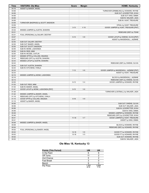| Time           | <b>VISITORS: Ole Miss</b>            | <b>Score</b> | <b>Margin</b>  | <b>HOME: Kentucky</b>                     |
|----------------|--------------------------------------|--------------|----------------|-------------------------------------------|
| 04:16          | ASSIST by BAKER, ANGEL               |              |                |                                           |
| 04:06          |                                      |              |                | TURNOVER (DRIBBLING) by HOWARD, RHYNE     |
| 04:06          |                                      |              |                | SUB OUT: LEVERETTER, NYAH                 |
| 04:06          |                                      |              |                | SUB OUT: KING, EMMA                       |
| 04:06          |                                      |              |                | SUB IN: WALKER, JADA                      |
| 04:06          |                                      |              |                | SUB IN: HUNT, TREASURE                    |
| 03:59          | TURNOVER (BADPASS) by SCOTT, MADISON |              |                |                                           |
| 03:59          |                                      |              |                | STEAL by HUNT, TREASURE                   |
| 03:53          |                                      | $3 - 13$     | $V$ 10         | GOOD! JUMPER by HUNT, TREASURE [PNT]      |
| 03:32          | MISSED JUMPER by AUSTIN, SHAKIRA     |              |                |                                           |
| 03:31          |                                      |              |                | REBOUND (DEF) by TEAM                     |
| 03:31          | FOUL (PERSONAL) by SALARY, DESTINY   |              |                |                                           |
| 03:07          |                                      | $5 - 13$     | V8             | GOOD! LAYUP by OWENS, OLIVIA [PNT]        |
| 03:07          |                                      |              |                | ASSIST by MASSENGILL, JAZMINE             |
| 02:55          | SUB OUT: SALARY, DESTINY             |              |                |                                           |
| 02:55          | SUB OUT: BAKER, ANGEL                |              |                |                                           |
| 02:55          | SUB OUT: SCOTT, MADISON              |              |                |                                           |
| 02:55          | SUB IN: MONK, LASHONDA               |              |                |                                           |
| 02:55          | SUB IN: REID, MIMI                   |              |                |                                           |
| 02:55          | SUB IN: MCGEE, CAITLIN               |              |                |                                           |
| 02:47          | MISSED 3PTR by COLLINS, SNUDDA       |              |                |                                           |
| 02:43          | REBOUND (OFF) by AUSTIN, SHAKIRA     |              |                |                                           |
| 02:43          | MISSED LAYUP by AUSTIN, SHAKIRA      |              |                |                                           |
| 02:43          |                                      |              |                | REBOUND (DEF) by OWENS, OLIVIA            |
| 02:43          | SUB OUT: AUSTIN, SHAKIRA             |              |                |                                           |
| 02:43          | SUB IN: KITCHENS, IYANLA             |              |                |                                           |
| 02:33          |                                      | $7 - 13$     | $V_6$          | GOOD! JUMPER by MASSENGILL, JAZMINE [PNT] |
| 02:33          |                                      |              |                | ASSIST by HUNT, TREASURE                  |
| 02:16          | MISSED JUMPER by MONK, LASHONDA      |              |                |                                           |
| 02:16          |                                      |              |                | BLOCK by MASSENGILL, JAZMINE              |
| 02:12          |                                      |              |                | REBOUND (DEF) by OWENS, OLIVIA            |
| 02:05          |                                      | $9 - 13$     | V <sub>4</sub> | GOOD! JUMPER by HOWARD, RHYNE             |
| 01:53          | SUB OUT: REID, MIMI                  |              |                |                                           |
| 01:53          | SUB IN: BAKER, ANGEL                 |              | $V_6$          |                                           |
| 01:41<br>01:30 | GOOD! LAYUP by MONK, LASHONDA [PNT]  | $9 - 15$     |                |                                           |
| 01:22          | MISSED JUMPER by BAKER, ANGEL        |              |                | TURNOVER (LOSTBALL) by WALKER, JADA       |
| 01:18          | REBOUND (OFF) by KITCHENS, IYANLA    |              |                |                                           |
| 01:15          | GOOD! 3PTR by COLLINS, SNUDDA        | $9 - 18$     | V <sub>9</sub> |                                           |
| 01:15          | ASSIST by BAKER, ANGEL               |              |                |                                           |
| 00:56          |                                      |              |                | SUB OUT: OWENS, OLIVIA                    |
| 00:56          |                                      |              |                | SUB OUT: WALKER, JADA                     |
| 00:56          |                                      |              |                | SUB IN: LEVERETTER, NYAH                  |
| 00:56          |                                      |              |                | SUB IN: KING, EMMA                        |
| 00:49          |                                      |              |                | MISSED JUMPER by HOWARD, RHYNE            |
| 00:46          |                                      |              |                | REBOUND (OFF) by LEVERETTER, NYAH         |
| 00:41          |                                      | $11 - 18$    | V <sub>7</sub> | GOOD! JUMPER by HUNT, TREASURE            |
| 00:41          |                                      |              |                | ASSIST by KING, EMMA                      |
| 00:08          | MISSED JUMPER by BAKER, ANGEL        |              |                |                                           |
| 00:08          |                                      |              |                | BLOCK by HOWARD, RHYNE                    |
| 00:04          |                                      |              |                | REBOUND (DEF) by HOWARD, RHYNE            |
| 00:02          | FOUL (PERSONAL) by BAKER, ANGEL      |              |                |                                           |
| 00:02          |                                      | $12 - 18$    | $V_6$          | GOOD! FT by HOWARD, RHYNE                 |
| 00:02          |                                      | $13 - 18$    | V <sub>5</sub> | GOOD! FT by HOWARD, RHYNE                 |
| 00:02          |                                      |              |                | SUB OUT: HOWARD, RHYNE                    |
| 00:02          |                                      |              |                | SUB IN: WALKER, JADA                      |
|                |                                      |              |                |                                           |

# **Ole Miss 18, Kentucky 13**

| <b>Points (This Period)</b> | <b>UM</b>     | UK            |
|-----------------------------|---------------|---------------|
| In the Paint                | 6             |               |
| Off Turns                   | 11            |               |
| 2nd Chance                  | 5             |               |
| <b>Fast Break</b>           | 3             |               |
| Bench                       | g             |               |
| Per Poss                    | 1.000<br>8/18 | 0.684<br>7/19 |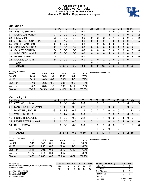# **Official Box Score Ole Miss vs Kentucky Second Quarter Statistics Only January 23, 2022 at Rupp Arena - Lexington**



# **Ole Miss 10**

| No. | Player                 | S | <b>Pts</b> | FG      | 3FG     | <b>FT</b> | <b>OR</b> | <b>DR</b> | TR | PF | A            | TO       | <b>Blk</b> | <b>Stl</b>   | Min      | $+/-$ |
|-----|------------------------|---|------------|---------|---------|-----------|-----------|-----------|----|----|--------------|----------|------------|--------------|----------|-------|
| 00  | <b>AUSTIN, SHAKIRA</b> | С | 4          | $2 - 3$ | $0-0$   | $0 - 0$   |           | 2         | 3  | 2  | 0            | 0        |            | 0            | 5        | 2     |
| 01  | MONK, LASHONDA         | G | 0          | $0 - 3$ | $0 - 0$ | $0 - 0$   |           | 0         | 1  |    |              | 0        | 0          | $\mathbf{0}$ | 3        | $-2$  |
| 02  | REID, MIMI             | G | 0          | $0 - 2$ | $0 - 0$ | $0 - 0$   | 0         | 2         | 2  | 0  |              | 0        | 0          | 0            | 9        | $-2$  |
| 03  | JOHNSON, DONNETTA      | G | 2          | $1 - 2$ | $0 - 0$ | $0 - 0$   | 0         | 0         | 0  | 0  | $\mathbf{0}$ |          | 0          | $\mathbf{0}$ | 6        | $-5$  |
| 24  | <b>SCOTT, MADISON</b>  | F | 4          | $2 - 2$ | $0 - 0$ | $0 - 0$   | 1         | 2         | 3  | 1  | $\Omega$     | 0        | 0          | $\mathbf{0}$ | 9        | 1     |
| 05  | <b>COLLINS, SNUDDA</b> | F | 0          | $0 - 3$ | $0 - 2$ | $0 - 0$   | 0         | $\Omega$  | 0  | 1  | $\Omega$     |          | 0          | $\Omega$     | 7        | 1     |
| 10  | <b>SALARY, DESTINY</b> | G | 0          | $0 - 0$ | $0 - 0$ | $0 - 0$   | $\Omega$  | $\Omega$  | 0  | 0  | $\Omega$     | $\Omega$ | 0          | $\Omega$     | $\Omega$ | 0     |
| 11  | KITCHENS, IYANLA       | F | 0          | $0 - 0$ | $0 - 0$ | $0 - 0$   | $\Omega$  | $\Omega$  | 0  |    | $\Omega$     |          | 0          | $\mathbf{0}$ | 2        | $-2$  |
| 15  | <b>BAKER, ANGEL</b>    | G | 0          | $0 - 1$ | $0 - 0$ | $0 - 0$   | 1         | 2         | 3  | 0  |              |          | 0          | 0            | 8        | 0     |
| 32  | MCGEE, CAITLIN         | F | 0          | $0 - 3$ | $0 - 0$ | $0 - 0$   | 2         | 0         | 2  | 0  | $\Omega$     | 0        | 0          | $\mathbf{0}$ | 1        | $-3$  |
|     | TEAM                   |   |            |         |         |           | $\Omega$  | 1         | 1  | 0  |              | 1        |            |              |          |       |
|     | <b>TOTALS</b>          |   | 10         | $5-19$  | $0 - 2$ | $0 - 0$   | 6         | 9         | 15 | 6  | 3            | 5        | 1          | 0            | 50       |       |

| <b>Shooting By Period</b><br>Period | FG        | FG%   | 3FG     | 3FG%  | FT       | FT%   | Deadball Rebounds: 4,0 |
|-------------------------------------|-----------|-------|---------|-------|----------|-------|------------------------|
| 3rd Qtr                             | 7-14      | 50%   | 1-1     | 100%  | 3-4      | 75%   |                        |
| 4th Qtr                             | $6 - 13$  | 46%   | $0 - 2$ | 00%   | $5 - 7$  | 71%   |                        |
| 2nd Half                            | $5 - 19$  | 26%   | $0 - 2$ | 00%   | $0 - 0$  | 0%    |                        |
| 2nd Half                            | $13 - 27$ | 48%   | $1-3$   | 33%   | $8 - 11$ | 73%   |                        |
| Game                                | 25-65     | 38.5% | $4-9$   | 44.4% | $9 - 12$ | 75.0% |                        |

# **Kentucky 12**

| No. | Player              | S. | <b>Pts</b>    | FG.             | 3FG     | <b>FT</b> | <b>OR</b>      | DR       | TR                    | <b>PF</b>      | A              | TO       | <b>B</b> lk    | Stl            | Min     | $+/-$          |
|-----|---------------------|----|---------------|-----------------|---------|-----------|----------------|----------|-----------------------|----------------|----------------|----------|----------------|----------------|---------|----------------|
| 00  | OWENS, OLIVIA       | С  | 0             | $0 - 1$         | $0 - 0$ | $0-0$     | 0              |          |                       |                |                |          | 0              |                |         | -3             |
| 03  | MASSENGILL, JAZMINE | G  | $\mathcal{P}$ | $1 - 2$         | $0 - 0$ | $0 - 2$   |                |          | $\mathbf{2}^{\prime}$ | 0              | 0              | 0        | 0              | $\Omega$       |         | $-1$           |
| 10  | HOWARD, RHYNE       | G  | 5             | 1-8             | $0 - 2$ | $3 - 4$   | 0              | 2        | 2                     | $\Omega$       | $\mathbf 0$    | $\Omega$ | $\Omega$       |                | 10      | -2             |
| 11  | <b>WALKER, JADA</b> | G  | $\mathcal{P}$ | $1 - 2$         | $0 - 0$ | $0 - 0$   | $\overline{0}$ | $\Omega$ | 0                     | $\overline{2}$ | 0              | 1        | $\overline{0}$ | $\overline{0}$ | 6       | $-1$           |
|     | 12 HUNT, TREASURE   | G  | $\mathcal{P}$ | $0 - 2$         | $0-0$   | $2 - 2$   |                | 0        |                       | $\mathbf{0}$   | $\mathbf 0$    | $\Omega$ |                | $\Omega$       |         | $\overline{1}$ |
|     | 21 LEVERETTER, NYAH |    |               | $0 - 0$         | $0 - 0$ | $1 - 2$   | 0              |          |                       | $\Omega$       | $\overline{0}$ | $\Omega$ | 1              | $\Omega$       | 6       | $\Omega$       |
| 34  | KING, EMMA          | G  | $\Omega$      | $0 - 0$         | $0 - 0$ | $0-0$     | 0              |          |                       | $\Omega$       | $\mathbf 0$    | $\Omega$ | $\Omega$       |                |         | -6             |
|     | <b>TEAM</b>         |    |               |                 |         |           |                | 1        | $\mathcal{P}$         | - 0            |                | 0        |                |                |         |                |
|     | <b>TOTALS</b>       |    |               | $12 \quad 3-15$ | $0 - 2$ | $6 - 10$  | 3              |          | 10                    | 3              | 1              | 2        | 2              |                | $2\,50$ |                |

| <b>Shooting By Period</b><br>Period | FG        | FG%   | 3FG     | 3FG%  | FT        | FT%   | Deadball Rebounds: 8,3 |
|-------------------------------------|-----------|-------|---------|-------|-----------|-------|------------------------|
| 3rd Qtr                             | 7-11      | 64%   | $0 - 1$ | 00%   | $3-3$     | 100%  |                        |
| 4th Qtr                             | $4 - 16$  | 25%   | $0 - 3$ | 00%   | $4-5$     | 80%   |                        |
| 2nd Half                            | $3 - 15$  | 20%   | $0 - 2$ | 00%   | $6 - 10$  | 60%   |                        |
| 2nd Half                            | $11 - 27$ | 41%   | $0 - 4$ | 00%   | 7-8       | 88%   |                        |
| Game                                | 19-53     | 35.8% | $0 - 6$ | 00.0% | $16 - 22$ | 72.7% |                        |

Game Notes: Officials: **Beverly Roberts, Gina Cross, Natasha Camy** Attendance: **5204** Start Time: **12:02 PM ET** End Time: **02:11 PM ET** Game Duration: **2:08** Conference Game; **Score 1st 2nd 3rd 4th TOT** UM 18 10 18 17 **63** UK 13 12 17 12 **54 Points (This Period) UM UK** In the Paint 8 6<br>
Off Turns 0 4 Off Turns 2nd Chance 2 5 Fast Break 2 0 Bench 0 1 Per Poss  $0.556$ <br> $5/18$ 0.667 6/18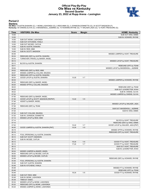# **Official Play-By-Play Ole Miss vs Kentucky Second Quarter January 23, 2022 at Rupp Arena - Lexington**



### **Period 2**

<mark>Starters:</mark><br>Ole Miss: 0 AUSTIN,SHAKIRA (C); 1 MONK,LASHONDA (G); 2 REID,MIMI (G); 3 JOHNSON,DONNETTA (G); 24 SCOTT,MADISON (F);<br>**Kentucky**: 00 OWENS,OLIVIA (C); 3 MASSENGILL,JAZMINE (G); 10 HOWARD,RHYNE (G); 11 WALKER,JADA

| Time           | <b>VISITORS: Ole Miss</b>                                     | <b>Score</b> | <b>Margin</b>                    | <b>HOME: Kentucky</b>                                    |
|----------------|---------------------------------------------------------------|--------------|----------------------------------|----------------------------------------------------------|
| 10:00          |                                                               |              |                                  | SUB OUT: KING, EMMA                                      |
| 10:00          |                                                               |              |                                  | SUB IN: HOWARD, RHYNE                                    |
| 10:00          | SUB OUT: MONK, LASHONDA                                       |              |                                  |                                                          |
| 10:00          | SUB OUT: KITCHENS, IYANLA                                     |              |                                  |                                                          |
| 10:00          | SUB OUT: MCGEE, CAITLIN                                       |              |                                  |                                                          |
| 10:00          | SUB IN: AUSTIN, SHAKIRA                                       |              |                                  |                                                          |
| 10:00          | SUB IN: REID, MIMI                                            |              |                                  |                                                          |
| 10:00          | SUB IN: SCOTT, MADISON                                        |              |                                  |                                                          |
| 09:36          |                                                               |              |                                  | MISSED JUMPER by HUNT, TREASURE                          |
| 09:34          | REBOUND (DEF) by AUSTIN, SHAKIRA                              |              |                                  |                                                          |
| 09:34          | TURNOVER (TRAVEL) by BAKER, ANGEL                             |              |                                  |                                                          |
| 09:12          |                                                               |              |                                  | MISSED LAYUP by HUNT, TREASURE                           |
| 09:12          | BLOCK by AUSTIN, SHAKIRA                                      |              |                                  |                                                          |
| 09:11          |                                                               |              |                                  | REBOUND (OFF) by TEAM                                    |
| 09:04          |                                                               |              |                                  | MISSED LAYUP by MASSENGILL, JAZMINE                      |
| 09:02          | REBOUND (DEF) by REID, MIMI                                   |              |                                  |                                                          |
| 08:57          | MISSED JUMPER by COLLINS, SNUDDA                              |              |                                  |                                                          |
| 08:54          | REBOUND (OFF) by AUSTIN, SHAKIRA                              |              |                                  |                                                          |
| 08:54          | GOOD! LAYUP by AUSTIN, SHAKIRA                                | 13-20        | V <sub>7</sub>                   |                                                          |
| 08:34          |                                                               |              |                                  | MISSED JUMPER by HOWARD, RHYNE                           |
| 08:30          | REBOUND (DEF) by BAKER, ANGEL                                 |              |                                  |                                                          |
| 08:25          | MISSED 3PTR by COLLINS, SNUDDA                                |              |                                  |                                                          |
| 08:23          |                                                               |              |                                  | REBOUND (DEF) by TEAM                                    |
| 08:22          |                                                               |              |                                  | SUB OUT: LEVERETTER, NYAH                                |
| 08:22          |                                                               |              |                                  | SUB IN: OWENS, OLIVIA                                    |
| 07:53          |                                                               |              |                                  | MISSED JUMPER by OWENS, OLIVIA                           |
| 07:50          | REBOUND (DEF) by BAKER, ANGEL                                 |              |                                  |                                                          |
| 07:46          | GOOD! LAYUP by SCOTT, MADISON [FB/PNT]                        | $13 - 22$    | V <sub>9</sub>                   |                                                          |
| 07:46          | ASSIST by BAKER, ANGEL                                        |              |                                  |                                                          |
| 07:27          |                                                               |              |                                  | MISSED LAYUP by WALKER, JADA                             |
| 07:26          | REBOUND (DEF) by TEAM                                         |              |                                  |                                                          |
| 07:25          |                                                               |              |                                  | SUB OUT: MASSENGILL, JAZMINE                             |
| 07:25          |                                                               |              |                                  | SUB IN: KING, EMMA                                       |
| 07:25          | SUB OUT: COLLINS, SNUDDA                                      |              |                                  |                                                          |
| 07:25          | SUB IN: JOHNSON, DONNETTA                                     |              |                                  |                                                          |
| 07:14          | MISSED LAYUP by REID, MIMI                                    |              |                                  |                                                          |
| 07:14          |                                                               |              |                                  | BLOCK by HUNT, TREASURE                                  |
| 07:10          |                                                               |              |                                  | REBOUND (DEF) by KING, EMMA                              |
| 07:02          |                                                               | $15 - 22$    | V <sub>7</sub><br>V <sub>9</sub> | GOOD! LAYUP by WALKER, JADA [PNT]                        |
| 06:45<br>06:19 | GOOD! JUMPER by AUSTIN, SHAKIRA [PNT]                         | $15 - 24$    |                                  |                                                          |
| 06:16          |                                                               |              |                                  | MISSED 3PTR by HOWARD, RHYNE                             |
|                |                                                               |              |                                  | REBOUND (OFF) by HUNT, TREASURE                          |
| 06:12<br>06:12 | FOUL (PERSONAL) by AUSTIN, SHAKIRA<br>SUB OUT: SCOTT, MADISON |              |                                  |                                                          |
| 06:12          | SUB IN: MCGEE, CAITLIN                                        |              |                                  |                                                          |
|                |                                                               | $16 - 24$    | V8                               |                                                          |
| 06:12<br>06:12 |                                                               | $17 - 24$    | V <sub>7</sub>                   | GOOD! FT by HUNT, TREASURE<br>GOOD! FT by HUNT, TREASURE |
| 06:12          |                                                               |              |                                  | SUB OUT: HUNT, TREASURE                                  |
| 06:12          |                                                               |              |                                  | SUB IN: LEVERETTER, NYAH                                 |
| 06:04          | MISSED JUMPER by BAKER, ANGEL                                 |              |                                  |                                                          |
| 06:00          | REBOUND (OFF) by MCGEE, CAITLIN                               |              |                                  |                                                          |
| 06:00          | MISSED LAYUP by MCGEE, CAITLIN                                |              |                                  |                                                          |
| 05:58          |                                                               |              |                                  | REBOUND (DEF) by HOWARD, RHYNE                           |
| 05:48          | FOUL (PERSONAL) by AUSTIN, SHAKIRA                            |              |                                  |                                                          |
| 05:48          | SUB OUT: AUSTIN, SHAKIRA                                      |              |                                  |                                                          |
| 05:48          | SUB IN: KITCHENS, IYANLA                                      |              |                                  |                                                          |
| 05:48          |                                                               |              |                                  | MISSED FT by HOWARD, RHYNE                               |
| 05:48          |                                                               |              |                                  | REBOUND (OFF) by TEAM                                    |
| 05:48          |                                                               | 18-24        | $V_6$                            | GOOD! FT by HOWARD, RHYNE                                |
| 05:48          | SUB OUT: REID, MIMI                                           |              |                                  |                                                          |
| 05:48          | SUB IN: MONK, LASHONDA                                        |              |                                  |                                                          |
| 05:39          | TIMEOUT 30SEC                                                 |              |                                  |                                                          |
| 05:34          | MISSED LAYUP by MONK, LASHONDA                                |              |                                  |                                                          |
| 05:32          | REBOUND (OFF) by MONK, LASHONDA                               |              |                                  |                                                          |
| 05:24          | MISSED JUMPER by MONK, LASHONDA                               |              |                                  |                                                          |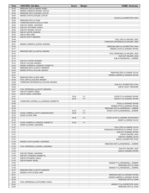| Time           | <b>VISITORS: Ole Miss</b>                | <b>Score</b> | <b>Margin</b>  | <b>HOME: Kentucky</b>                 |
|----------------|------------------------------------------|--------------|----------------|---------------------------------------|
| 05:20          | REBOUND (OFF) by BAKER, ANGEL            |              |                |                                       |
| 05:04          | MISSED JUMPER by MCGEE, CAITLIN          |              |                |                                       |
| 05:00          | REBOUND (OFF) by MCGEE, CAITLIN          |              |                |                                       |
| 05:00          | MISSED LAYUP by MCGEE, CAITLIN           |              |                |                                       |
| 05:00          |                                          |              |                | BLOCK by LEVERETTER, NYAH             |
| 05:00          | REBOUND (OFF) by TEAM                    |              |                |                                       |
| 05:00          | TURNOVER (SHOTCLOCK) by TEAM             |              |                |                                       |
| 05:00          | SUB OUT: MONK, LASHONDA                  |              |                |                                       |
| 05:00          | SUB OUT: KITCHENS, IYANLA                |              |                |                                       |
| 05:00          | SUB OUT: MCGEE, CAITLIN                  |              |                |                                       |
| 05:00          | SUB IN: AUSTIN, SHAKIRA                  |              |                |                                       |
| 05:00<br>05:00 | SUB IN: REID, MIMI                       |              |                |                                       |
| 04:48          | SUB IN: SCOTT, MADISON                   |              |                | FOUL (OFF) by WALKER, JADA            |
| 04:48          |                                          |              |                | TURNOVER (OFFENSIVE) by WALKER, JADA  |
| 04:31          | MISSED JUMPER by AUSTIN, SHAKIRA         |              |                |                                       |
| 04:30          |                                          |              |                | REBOUND (DEF) by LEVERETTER, NYAH     |
| 04:17          |                                          |              |                | MISSED LAYUP by HOWARD, RHYNE         |
| 04:14          | REBOUND (DEF) by AUSTIN, SHAKIRA         |              |                |                                       |
| 04:10          |                                          |              |                | FOUL (PERSONAL) by WALKER, JADA       |
| 04:10          |                                          |              |                | SUB OUT: WALKER, JADA                 |
| 04:10          |                                          |              |                | SUB IN: MASSENGILL, JAZMINE           |
| 04:10          | SUB OUT: AUSTIN, SHAKIRA                 |              |                |                                       |
| 04:10          | SUB IN: COLLINS, SNUDDA                  |              |                |                                       |
| 04:00          | MISSED JUMPER by JOHNSON, DONNETTA       |              |                |                                       |
| 03:58          | REBOUND (OFF) by SCOTT, MADISON          |              |                |                                       |
| 03:55          | MISSED 3PTR by COLLINS, SNUDDA           |              |                |                                       |
| 03:53          |                                          |              |                | REBOUND (DEF) by OWENS, OLIVIA        |
| 03:37          |                                          |              |                | MISSED JUMPER by HOWARD, RHYNE        |
| 03:34          | REBOUND (DEF) by REID, MIMI              |              |                |                                       |
| 03:29          | FOUL (OFF) by COLLINS, SNUDDA            |              |                |                                       |
| 03:29          | TURNOVER (OFFENSIVE) by COLLINS, SNUDDA  |              |                |                                       |
| 03:29          |                                          |              |                | SUB OUT: LEVERETTER, NYAH             |
| 03:29          |                                          |              |                | SUB IN: HUNT, TREASURE                |
| 03:07          | FOUL (PERSONAL) by SCOTT, MADISON        |              |                |                                       |
| 03:07<br>03:07 | SUB OUT: BAKER, ANGEL                    |              |                |                                       |
| 03:07          | SUB IN: MONK, LASHONDA                   | 19-24        | V <sub>5</sub> | GOOD! FT by HOWARD, RHYNE             |
| 03:07          |                                          | $20 - 24$    | V <sub>4</sub> | GOOD! FT by HOWARD, RHYNE             |
| 02:58          | TURNOVER (LOSTBALL) by JOHNSON, DONNETTA |              |                |                                       |
| 02:58          |                                          |              |                | STEAL by HOWARD, RHYNE                |
| 02:53          |                                          |              |                | MISSED 3PTR by HOWARD, RHYNE          |
| 02:49          |                                          |              |                | REBOUND (OFF) by MASSENGILL, JAZMINE  |
| 02:49          |                                          | 22-24        | V <sub>2</sub> | GOOD! LAYUP by MASSENGILL, JAZMINE    |
| 02:33          | GOOD! JUMPER by SCOTT, MADISON [PNT]     | 22-26        | V <sub>4</sub> |                                       |
| 02:33          | ASSIST by REID, MIMI                     |              |                |                                       |
| 02:18          |                                          | 24-26        | V <sub>2</sub> | GOOD! LAYUP by HOWARD, RHYNE [PNT]    |
| 02:18          |                                          |              |                | ASSIST by OWENS, OLIVIA               |
| 01:42          | GOOD! JUMPER by JOHNSON, DONNETTA        | 24-28        | V <sub>4</sub> |                                       |
| 01:42          | ASSIST by MONK, LASHONDA                 |              |                |                                       |
| 01:27          |                                          |              |                | FOUL (OFF) by OWENS, OLIVIA           |
| 01:27          |                                          |              |                | TURNOVER (OFFENSIVE) by OWENS, OLIVIA |
| 01:27          |                                          |              |                | SUB OUT: HOWARD, RHYNE                |
| 01:27          |                                          |              |                | SUB IN: WALKER, JADA                  |
| 01:27          |                                          |              |                | SUB OUT: OWENS, OLIVIA                |
| 01:27<br>01:03 | MISSED LAYUP by MONK, LASHONDA           |              |                | SUB IN: LEVERETTER, NYAH              |
| 01:02          |                                          |              |                | REBOUND (DEF) by MASSENGILL, JAZMINE  |
| 01:02          | FOUL (PERSONAL) by MONK, LASHONDA        |              |                |                                       |
| 01:02          |                                          |              |                | SUB OUT: WALKER, JADA                 |
| 01:02          |                                          |              |                | SUB IN: HOWARD, RHYNE                 |
| 01:02          | SUB OUT: MONK, LASHONDA                  |              |                |                                       |
| 01:02          | SUB OUT: JOHNSON, DONNETTA               |              |                |                                       |
| 01:02          | SUB IN: KITCHENS, IYANLA                 |              |                |                                       |
| 01:02          | SUB IN: BAKER, ANGEL                     |              |                |                                       |
| 01:02          |                                          |              |                | MISSED FT by MASSENGILL, JAZMINE      |
| 01:02          |                                          |              |                | REBOUND (OFF) by TEAM                 |
| 01:02          |                                          |              |                | MISSED FT by MASSENGILL, JAZMINE      |
| 01:01          | REBOUND (DEF) by SCOTT, MADISON          |              |                |                                       |
| 00:33          | MISSED LAYUP by REID, MIMI               |              |                |                                       |
| 00:31          |                                          |              |                | REBOUND (DEF) by HOWARD, RHYNE        |
| 00:26          |                                          |              |                | MISSED JUMPER by HOWARD, RHYNE        |
| 00:24          |                                          |              |                | REBOUND (OFF) by TEAM                 |
| 00:24          | FOUL (PERSONAL) by KITCHENS, IYANLA      |              |                |                                       |
| 00:24          |                                          |              |                | MISSED FT by LEVERETTER, NYAH         |
| 00:24          |                                          |              |                | REBOUND (OFF) by TEAM                 |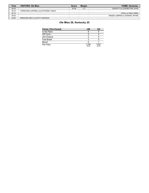| <b>Time</b> | <b>VISITORS: Ole Miss</b>               | <b>Score</b> | <b>Margin</b>  | <b>HOME: Kentucky</b>          |
|-------------|-----------------------------------------|--------------|----------------|--------------------------------|
| 00:24       |                                         | $25 - 28$    | V <sub>3</sub> | GOOD! FT by LEVERETTER, NYAH   |
| 00:15       | TURNOVER (LOSTBALL) by KITCHENS, IYANLA |              |                |                                |
| 00:15       |                                         |              |                | STEAL by KING, EMMA            |
| 00:02       |                                         |              |                | MISSED JUMPER by HOWARD, RHYNE |
| 00:00       | REBOUND (DEF) by SCOTT, MADISON         |              |                |                                |

# **Ole Miss 28, Kentucky 25**

| <b>Points (This Period)</b> | <b>UM</b>     | UK            |
|-----------------------------|---------------|---------------|
| In the Paint                |               |               |
| Off Turns                   |               |               |
| 2nd Chance                  |               |               |
| Fast Break                  |               |               |
| Bench                       |               |               |
| Per Poss                    | 0.556<br>5/18 | 0.667<br>6/18 |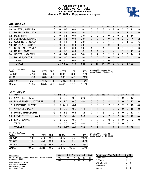# **Official Box Score Ole Miss vs Kentucky Second Half Statistics Only January 23, 2022 at Rupp Arena - Lexington**



# **Ole Miss 35**

| No. | Plaver                 | S  | Pts            | <b>FG</b> | 3FG     | <b>FT</b> | <b>OR</b> | <b>DR</b> | TR             | PF            | A | TO | <b>B</b> lk | Stl            | <b>Min</b> | $+/-$ |
|-----|------------------------|----|----------------|-----------|---------|-----------|-----------|-----------|----------------|---------------|---|----|-------------|----------------|------------|-------|
| 00  | <b>AUSTIN, SHAKIRA</b> | С  | 16             | $6 - 8$   | $0 - 0$ | 4-4       | 0         | 3         | 3              | 3             | 2 | 0  | 0           | 0              | 14         | 8     |
| 01  | MONK, LASHONDA         | G  | 5              | $1 - 4$   | $0 - 0$ | $3 - 5$   | 0         | 2         | 2              | 2             |   | 0  | 0           |                | 11         | 6     |
| 02  | REID, MIMI             | G  | <sup>0</sup>   | $0 - 1$   | $0 - 0$ | $0 - 0$   | 0         | 0         | 0              | 0             | 2 | 0  | 0           | 1              | 14         | 1     |
| 03  | JOHNSON, DONNETTA      | G  | $\overline{2}$ | $1 - 1$   | $0 - 0$ | $0 - 0$   | 0         | 0         | 0              | 0             | 0 | 0  | 0           | 0              | 4          | 2     |
| 05  | <b>COLLINS, SNUDDA</b> | F  | 3              | $1 - 4$   | $1 - 3$ | $0 - 0$   | 0         | 2         | 2              |               | 0 |    | 0           | 1              | 20         | 6     |
| 10  | <b>SALARY, DESTINY</b> | G  | 0              | $0 - 0$   | $0 - 0$ | $0 - 0$   | 0         | 0         | 0              | $\Omega$      | 0 | 0  | 0           | $\Omega$       | 0          | 0     |
| 11  | KITCHENS, IYANLA       | F  | 0              | $0 - 0$   | $0 - 0$ | $0-0$     | 1         | 0         | 1              | 1             | 0 | 0  | 0           | 0              | 3          | $-3$  |
| 15  | <b>BAKER, ANGEL</b>    | G  | 3              | $1 - 5$   | $0 - 0$ | $1 - 2$   |           | 1         | $\overline{2}$ | 1             | 2 | 1  | 0           | $\overline{2}$ | 15         | 5     |
| 24  | <b>SCOTT, MADISON</b>  | F  | 6              | $3 - 4$   | $0 - 0$ | $0 - 0$   |           | 2         | 3              | $\mathcal{P}$ |   | 3  | $\Omega$    | 0              | 14         | 5     |
| 32  | MCGEE, CAITLIN         | F. | $\Omega$       | $0 - 0$   | $0 - 0$ | $0 - 0$   | 0         | 0         | $\Omega$       | 0             | 0 | 0  | $\Omega$    | 0              | 4          | 0     |
|     | <b>TEAM</b>            |    | 0              | $0 - 0$   | $0 - 0$ | $0 - 0$   | 0         |           |                | 0             | 0 |    | 0           | $\mathbf 0$    | 0          |       |
|     | <b>TOTALS</b>          |    |                | 35 13-27  | $1 - 3$ | $8 - 11$  | 3         | 11        | 14             | 10            | 8 | 6  | 0           | 5              | 100        |       |

| <b>Shooting By Period</b><br>Period | FG        | FG%   | 3FG     | 3FG%  | FT       | FT%   | Deadball Rebounds: 4,0<br>Last FG Half: UM 4th-00:31 |
|-------------------------------------|-----------|-------|---------|-------|----------|-------|------------------------------------------------------|
| 3rd Qtr                             | 7-14      | 50%   | 1-1     | 100%  | $3 - 4$  | 75%   |                                                      |
| 4th Qtr                             | $6 - 13$  | 46%   | $0 - 2$ | 00%   | $5 - 7$  | 71%   |                                                      |
| 2nd Half                            | $13 - 27$ | 48%   | $1-3$   | 33%   | 8-11     | 73%   |                                                      |
| Game                                | $25 - 65$ | 38.5% | $4-9$   | 44.4% | $9 - 12$ | 75.0% |                                                      |

# **Kentucky 29**

| No. | Player              | S. | <b>Pts</b>    | FG.      | 3FG     | <b>FT</b> | <b>OR</b>    | DR. | TR       | PF.            |             | A TO     | <b>Blk</b>    | Stl            | Min   | $+/-$          |
|-----|---------------------|----|---------------|----------|---------|-----------|--------------|-----|----------|----------------|-------------|----------|---------------|----------------|-------|----------------|
| 00  | OWENS, OLIVIA       |    | $\Omega$      | $0 - 2$  | $0 - 0$ | $0 - 0$   |              | 2   | 3        |                | 0           | 2        | $\Omega$      | 0              | 12    | $-4$           |
| 03  | MASSENGILL, JAZMINE | G  | $\mathcal{P}$ | $1 - 2$  | $0 - 0$ | $0 - 0$   | $\mathbf{0}$ | 0   | 0        | $\overline{4}$ |             | 1        | $\Omega$      | $\overline{0}$ | -17   | $-10$          |
|     | 10 HOWARD, RHYNE    | G. |               | 15 7-12  | $0 - 1$ | $1 - 1$   | 0            | 3   | 3        | $\mathcal{P}$  | 1           | $\Omega$ | 2             | $\Omega$       | 19    | -8             |
| 11  | <b>WALKER, JADA</b> | G  | 4             | $0 - 6$  | $0 - 2$ | $4 - 4$   |              |     | 2        | 1              | $\Omega$    | $\Omega$ | $\Omega$      | $\Omega$       | 18    | $\overline{0}$ |
|     | 12 HUNT, TREASURE   | G. | 3             | $1 - 3$  | $0 - 1$ | $1 - 2$   | 2            | 1   | 3        | 1              | 0           | 3        | $\Omega$      | 0              | 17    | -4             |
| 21  | LEVERETTER, NYAH    | F. | $\Omega$      | $0 - 0$  | $0 - 0$ | $0 - 0$   | $\Omega$     | 2   | 2        | 2              | $\Omega$    | $\Omega$ | $\Omega$      | $\Omega$       | 12    | $-4$           |
| 34  | KING, EMMA          | G. | 5             | $2 - 2$  | $0 - 0$ | 1-1       | 0            | 0   | $\Omega$ | $\Omega$       | 0           | 1        | $\Omega$      | $\Omega$       | -6    | $\Omega$       |
|     | <b>TEAM</b>         |    | 0             | $0 - 0$  | $0 - 0$ | $0 - 0$   |              | 0   | 1.       | $\Omega$       | $\mathbf 0$ |          | $\Omega$      | $\Omega$       | - 0   |                |
|     | <b>TOTALS</b>       |    |               | 29 11-27 | $0 - 4$ | $7 - 8$   | 5            | 9   | 14       | 11             | 2           | 8        | $\mathcal{P}$ |                | 0,100 |                |

| <b>Shooting By Period</b><br>Period | FG        | FG%   | 3FG     | 3FG%   | FT      | FT%   | Deadball Rebounds: 8,3<br>Last FG Half: UK 4th-00:55 |
|-------------------------------------|-----------|-------|---------|--------|---------|-------|------------------------------------------------------|
| 3rd Qtr                             | 7-11      | 64%   | $0 - 1$ | 00%    | $3 - 3$ | 100%  |                                                      |
| 4th Qtr                             | $4 - 16$  | 25%   | 0-3     | $00\%$ | $4 - 5$ | 80%   |                                                      |
| 2nd Half                            | $11 - 27$ | 41%   | 0-4     | $00\%$ | 7-8     | 88%   |                                                      |
| Game                                | 19-53     | 35.8% | 0-6     | 00.0%  | $16-22$ | 72 7% |                                                      |

| Game Notes:                                                              | <b>Score</b> | 1st.            | 2nd | 3rd | 4th | <b>TOT</b> | <b>Points from (This Period)</b> | <b>UM UK</b> |    |
|--------------------------------------------------------------------------|--------------|-----------------|-----|-----|-----|------------|----------------------------------|--------------|----|
| Officials: Beverly Roberts, Gina Cross, Natasha Camy<br>Attendance: 5204 | UM           | 18              |     | 18  |     | 63         | In the Paint                     | 20           | 12 |
|                                                                          | UK           | 13 <sup>1</sup> |     |     |     | 54         | Off Turns                        |              |    |
| Start Time: 12:02 PM ET                                                  |              |                 |     |     |     |            | 2nd Chance                       |              |    |
| End Time: 02:11 PM ET<br>Game Duration: 2:08                             |              |                 |     |     |     |            | Fast Break                       |              |    |
| Conference Game:                                                         |              |                 |     |     |     |            | Bench                            | հ․           |    |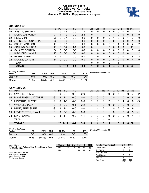### **Official Box Score Ole Miss vs Kentucky Third Quarter Statistics Only January 23, 2022 at Rupp Arena - Lexington**



# **Ole Miss 35**

| No. | Plaver                 | S  | Pts      | <b>FG</b> | 3FG     | <b>FT</b> | <b>OR</b>    | <b>DR</b> | TR | PF            | A            | TO       | <b>Blk</b> | Stl          | Min | $+/-$          |
|-----|------------------------|----|----------|-----------|---------|-----------|--------------|-----------|----|---------------|--------------|----------|------------|--------------|-----|----------------|
| 00  | <b>AUSTIN, SHAKIRA</b> | С  | 9        | $4 - 5$   | $0 - 0$ | 1-1       | 0            | 0         | 0  |               | 0            | 0        | 0          | 0            |     | 2              |
| 01  | MONK, LASHONDA         | G  | 4        | $1 - 3$   | $0 - 0$ | $2 - 3$   | $\Omega$     |           | 1  | 0             |              | 0        | 0          | 0            | 6   | $\mathbf 0$    |
| 02  | REID, MIMI             | G  | 0        | $0 - 1$   | $0 - 0$ | $0 - 0$   | 0            | 0         | 0  | 0             |              | 0        | 0          |              | 6   | 0              |
| 03  | JOHNSON, DONNETTA      | G  | 0        | $0 - 0$   | $0 - 0$ | $0 - 0$   | $\mathbf{0}$ | 0         | 0  | 0             | $\mathbf{0}$ | $\Omega$ | 0          | $\mathbf{0}$ | 1   | $\mathbf{0}$   |
| 24  | <b>SCOTT, MADISON</b>  | F  | 0        | $0 - 1$   | $0 - 0$ | $0 - 0$   | 0            | $\Omega$  | 0  | $\mathcal{P}$ |              |          | 0          | 0            |     | 2              |
| 05  | <b>COLLINS, SNUDDA</b> | F  | 3        | $1 - 2$   | $1 - 1$ | $0 - 0$   | $\Omega$     |           | 1  | 0             | $\Omega$     |          | 0          |              | 10  | $\mathbf{1}$   |
| 10  | <b>SALARY, DESTINY</b> | G  | $\Omega$ | $0 - 0$   | $0 - 0$ | $0 - 0$   | 0            | $\Omega$  | 0  | 0             | 0            | $\Omega$ | 0          | 0            | 0   | $\mathbf{0}$   |
| 11  | KITCHENS, IYANLA       | F  | 0        | $0 - 0$   | $0 - 0$ | $0 - 0$   | $\Omega$     | 0         | 0  | 0             | $\mathbf{0}$ | $\Omega$ | $\Omega$   | $\mathbf{0}$ |     | $-2$           |
| 15  | <b>BAKER, ANGEL</b>    | G  | 2        | $1 - 2$   | $0 - 0$ | $0 - 0$   | 1            | 0         | 1  |               |              | 0        | $\Omega$   |              | 8   | $\overline{2}$ |
| 32  | MCGEE, CAITLIN         | F. | 0        | $0 - 0$   | $0 - 0$ | $0 - 0$   | $\Omega$     | 0         | 0  | 0             | $\Omega$     | $\Omega$ | 0          | $\Omega$     | 4   | $\mathbf{0}$   |
|     | <b>TEAM</b>            |    |          |           |         |           | 0            | 0         | 0  | 0             |              | 1        |            |              |     |                |
|     | <b>TOTALS</b>          |    | 18       | $7 - 14$  | $1 - 1$ | $3 - 4$   | 1            | 2         | 3  | 4             | 4            | 3        | 0          | 3            | 50  |                |

| <b>Shooting By Period</b><br>Period | FG        | FG%   | 3FG | 3FG%  | <b>FT</b> | FT%   | Deadball Rebounds: 4,0 |
|-------------------------------------|-----------|-------|-----|-------|-----------|-------|------------------------|
| 2nd Half                            | 0-0       | ገ%    | ი-ი | 0%    | 0-C       | 0%    |                        |
| Game                                | $25 - 65$ | 38.5% | 4-9 | 44.4% | $9 - 12$  | 75.0% |                        |

# **Kentucky 29**

| No. | Player              | S. | <b>Pts</b>    | FG      | 3FG     | <b>FT</b> | OR       | <b>DR</b>      | TR           | <b>PF</b>      | A           | TO            | <b>Blk</b> | <b>Stl</b>     | Min | $+/-$          |
|-----|---------------------|----|---------------|---------|---------|-----------|----------|----------------|--------------|----------------|-------------|---------------|------------|----------------|-----|----------------|
| 00  | OWENS, OLIVIA       | C. | 0             | $0 - 0$ | $0 - 0$ | 0-0       | 0        | 2              | 2            | 0              | 0           |               | 0          |                |     | $-2$           |
| 03  | MASSENGILL, JAZMINE | G  | 2             | $1 - 1$ | $0 - 0$ | $0 - 0$   | 0        | 0              | $\Omega$     | 1              | 0           |               | 0          | $\overline{0}$ | 8   | -5             |
| 10  | HOWARD, RHYNE       | G  | 8             | $4-6$   | $0 - 0$ | $0 - 0$   | $\Omega$ |                |              | 2              | 1           | 0             | 1          | $\Omega$       | 9   | -3             |
| 11  | WALKER, JADA        | G  | $\mathcal{P}$ | $0 - 2$ | $0 - 1$ | $2 - 2$   | $\Omega$ | $\overline{0}$ | $\Omega$     | $\overline{0}$ | $\Omega$    | $\Omega$      | $\Omega$   | $\overline{0}$ | -9  | $\overline{1}$ |
|     | 12 HUNT, TREASURE   | G  | $\mathcal{P}$ | 1-1     | $0-0$   | $0-0$     |          |                | 2            | 1              | $\mathbf 0$ | $\mathcal{P}$ | $\Omega$   | $\mathbf 0$    | -9  | $\overline{1}$ |
| 21  | LEVERETTER, NYAH    | F. | $\Omega$      | $0 - 0$ | $0 - 0$ | $0 - 0$   | $\Omega$ | $\Omega$       | $\mathbf{0}$ | 1              | $\Omega$    | $\Omega$      | $\Omega$   | $\overline{0}$ | 5   | $-1$           |
| 34  | KING, EMMA          | G  | 3             | -1-1    | $0 - 0$ | 1-1       | $\Omega$ | 0              | $\Omega$     | $\Omega$       | $\Omega$    | $\Omega$      | $\Omega$   | $\Omega$       | 4   | $\overline{4}$ |
|     | <b>TEAM</b>         |    |               |         |         |           |          | 0              |              | -0             |             |               |            |                |     |                |
|     | <b>TOTALS</b>       |    | 17            | -7-11   | 0-1     | $3 - 3$   | 2        | 4              | -6           | 5              | 1           | 5             | 1          | $\mathbf{0}$   | 50  |                |

| <b>Shooting By Period</b><br>Period | FG    | FG%   | 3FG     | 3FG%  | FТ      | FT%   | Deadball Rebounds: 8,3 |
|-------------------------------------|-------|-------|---------|-------|---------|-------|------------------------|
| 2nd Half                            | 0-0   | $0\%$ | $0 - 0$ | 0%    | 0-0     | 0%    |                        |
| Game                                | 19-53 | 35.8% | $0 - 6$ | 00.0% | $16-22$ | 72.7% |                        |

| Game Notes:                                                              | <b>Score</b> | 1st | 2nd | $\overline{\phantom{a}}$ 3rd | 4th | <b>TOT</b> | <b>Points (This Period)</b> | UM           | UK            |
|--------------------------------------------------------------------------|--------------|-----|-----|------------------------------|-----|------------|-----------------------------|--------------|---------------|
| Officials: Beverly Roberts, Gina Cross, Natasha Camy<br>Attendance: 5204 | UM           | 18  | 10  | 18                           |     | 63         | In the Paint                | 10           |               |
|                                                                          | UK           | 13  | 12  |                              |     | 54         | Off Turns                   |              |               |
| Start Time: 12:02 PM ET                                                  |              |     |     |                              |     |            | 2nd Chance                  |              |               |
| End Time: 02:11 PM ET<br>Game Duration: 2:08                             |              |     |     |                              |     |            | <b>Fast Break</b>           |              |               |
| Conference Game:                                                         |              |     |     |                              |     |            | Bench                       |              |               |
|                                                                          |              |     |     |                              |     |            | Per Poss                    | .000<br>9/18 | 1.133<br>9/15 |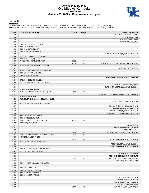# **Official Play-By-Play Ole Miss vs Kentucky Third Quarter January 23, 2022 at Rupp Arena - Lexington**



### **Period 3**

<mark>Starters:</mark><br>Ole Miss: 0 AUSTIN,SHAKIRA (C); 1 MONK,LASHONDA (G); 2 REID,MIMI (G); 3 JOHNSON,DONNETTA (G); 24 SCOTT,MADISON (F);<br>**Kentucky**: 00 OWENS,OLIVIA (C); 3 MASSENGILL,JAZMINE (G); 10 HOWARD,RHYNE (G); 11 WALKER,JADA

| Time           | <b>VISITORS: Ole Miss</b>                                    | <b>Score</b>   | <b>Margin</b>                    | <b>HOME: Kentucky</b>                      |
|----------------|--------------------------------------------------------------|----------------|----------------------------------|--------------------------------------------|
| 10:00          |                                                              |                |                                  | SUB OUT: LEVERETTER, NYAH                  |
| 10:00          |                                                              |                |                                  | SUB OUT: KING, EMMA                        |
| 10:00          |                                                              |                |                                  | SUB IN: OWENS, OLIVIA                      |
| 10:00          |                                                              |                |                                  | SUB IN: WALKER, JADA                       |
| 10:00          | SUB OUT: KITCHENS, IYANLA                                    |                |                                  |                                            |
| 10:00          | SUB OUT: BAKER, ANGEL                                        |                |                                  |                                            |
| 10:00          | SUB IN: AUSTIN, SHAKIRA                                      |                |                                  |                                            |
| 10:00          | SUB IN: MONK, LASHONDA                                       |                |                                  |                                            |
| 09:40          |                                                              |                |                                  | FOUL (PERSONAL) by HUNT, TREASURE          |
| 09:40<br>09:40 | MISSED FT by MONK, LASHONDA<br>REBOUND (OFF) by TEAM         |                |                                  |                                            |
| 09:40          | GOOD! FT by MONK, LASHONDA                                   | 25-29          | V <sub>4</sub>                   |                                            |
| 09:12          |                                                              | 27-29          | V <sub>2</sub>                   | GOOD! JUMPER by MASSENGILL, JAZMINE [PNT]  |
| 08:49          | MISSED JUMPER by MONK, LASHONDA                              |                |                                  |                                            |
| 08:47          |                                                              |                |                                  | REBOUND (DEF) by TEAM                      |
| 08:47          | FOUL (PERSONAL) by AUSTIN, SHAKIRA                           |                |                                  |                                            |
| 08:47          | SUB OUT: MONK, LASHONDA                                      |                |                                  |                                            |
| 08:47          | SUB IN: BAKER, ANGEL                                         |                |                                  |                                            |
| 08:31          |                                                              |                |                                  | TURNOVER (BADPASS) by HUNT, TREASURE       |
| 08:31          | STEAL by COLLINS, SNUDDA                                     |                |                                  |                                            |
| 08:19          | MISSED JUMPER by SCOTT, MADISON                              |                |                                  |                                            |
| 08:15          |                                                              |                |                                  | REBOUND (DEF) by OWENS, OLIVIA             |
| 08:14          |                                                              |                |                                  | TURNOVER (LOSTBALL) by OWENS, OLIVIA       |
| 08:14          | STEAL by BAKER, ANGEL                                        |                |                                  |                                            |
| 08:11          | GOOD! JUMPER by BAKER, ANGEL [PNT]                           | 27-31          | V <sub>4</sub>                   |                                            |
| 08:01          |                                                              |                |                                  | TURNOVER (LOSTBALL) by MASSENGILL, JAZMINE |
| 08:01<br>07:56 | STEAL by REID, MIMI<br>TURNOVER (BADPASS) by COLLINS, SNUDDA |                |                                  |                                            |
| 07:26          |                                                              |                |                                  | TURNOVER (SHOTCLOCK) by TEAM               |
| 07:10          | MISSED JUMPER by AUSTIN, SHAKIRA                             |                |                                  |                                            |
| 07:07          |                                                              |                |                                  | REBOUND (DEF) by HOWARD, RHYNE             |
| 07:02          |                                                              |                |                                  | MISSED 3PTR by WALKER, JADA                |
| 06:59          |                                                              |                |                                  | REBOUND (OFF) by HUNT, TREASURE            |
| 06:53          |                                                              |                |                                  | TURNOVER (3SEC) by HUNT, TREASURE          |
| 06:53          | SUB OUT: SCOTT, MADISON                                      |                |                                  |                                            |
| 06:53          | SUB IN: MCGEE, CAITLIN                                       |                |                                  |                                            |
| 06:42          | GOOD! 3PTR by COLLINS, SNUDDA                                | 27-34          | V <sub>7</sub>                   |                                            |
| 06:42          | ASSIST by REID, MIMI                                         |                |                                  |                                            |
| 06:37          |                                                              |                |                                  | TIMEOUT 30SEC                              |
| 06:37          |                                                              |                |                                  | SUB OUT: MASSENGILL, JAZMINE               |
| 06:37          |                                                              |                |                                  | SUB IN: KING, EMMA                         |
| 06:25<br>05:55 | GOOD! JUMPER by AUSTIN, SHAKIRA [PNT]                        | 29-34<br>29-36 | V <sub>5</sub><br>V <sub>7</sub> | GOOD! LAYUP by HOWARD, RHYNE [PNT]         |
| 05:55          | ASSIST by BAKER, ANGEL                                       |                |                                  |                                            |
| 05:42          |                                                              | 31-36          | V <sub>5</sub>                   | GOOD! JUMPER by HOWARD, RHYNE              |
| 05:23          | MISSED JUMPER by BAKER, ANGEL                                |                |                                  |                                            |
| 05:20          |                                                              |                |                                  | REBOUND (DEF) by OWENS, OLIVIA             |
| 04:56          |                                                              |                |                                  | MISSED JUMPER by HOWARD, RHYNE             |
| 04:53          | REBOUND (DEF) by COLLINS, SNUDDA                             |                |                                  |                                            |
| 04:42          | MISSED LAYUP by REID, MIMI                                   |                |                                  |                                            |
| 04:42          |                                                              |                |                                  | BLOCK by HOWARD, RHYNE                     |
| 04:38          |                                                              |                |                                  | REBOUND (DEF) by HUNT, TREASURE            |
| 04:36          |                                                              | 33-36          | $V_3$                            | GOOD! LAYUP by KING, EMMA [FB/PNT]         |
| 04:36          |                                                              |                |                                  | ASSIST by HOWARD, RHYNE                    |
| 04:36          | FOUL (PERSONAL) by BAKER, ANGEL                              |                |                                  |                                            |
| 04:36          |                                                              |                |                                  |                                            |
| 04:36          | SUB OUT: REID, MIMI                                          |                |                                  |                                            |
| 04:36          | SUB OUT: MCGEE, CAITLIN                                      |                |                                  |                                            |
| 04:36<br>04:36 | SUB IN: MONK, LASHONDA<br>SUB IN: SCOTT, MADISON             |                |                                  |                                            |
| 04:36          |                                                              |                |                                  | SUB OUT: WALKER, JADA                      |
| 04:36          |                                                              |                |                                  | SUB OUT: HUNT, TREASURE                    |
| 04:36          |                                                              |                |                                  | SUB IN: MASSENGILL, JAZMINE                |
| 04:36          |                                                              |                |                                  | SUB IN: LEVERETTER, NYAH                   |
| 04:36          |                                                              | 34-36          | V <sub>2</sub>                   | GOOD! FT by KING, EMMA [FB]                |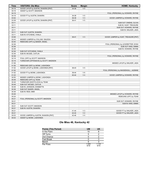| <b>Time</b> | <b>VISITORS: Ole Miss</b>              | <b>Score</b> | <b>Margin</b>  | <b>HOME: Kentucky</b>                  |
|-------------|----------------------------------------|--------------|----------------|----------------------------------------|
| 04:19       | GOOD! LAYUP by AUSTIN, SHAKIRA [PNT]   | 34-38        | V <sub>4</sub> |                                        |
| 04:19       | ASSIST by SCOTT, MADISON               |              |                |                                        |
| 04:19       |                                        |              |                | FOUL (PERSONAL) by HOWARD, RHYNE       |
| 04:19       | GOOD! FT by AUSTIN, SHAKIRA            | 34-39        | V <sub>5</sub> |                                        |
| 03:52       |                                        | 36-39        | V <sub>3</sub> | GOOD! JUMPER by HOWARD, RHYNE          |
| 03:39       | GOOD! LAYUP by AUSTIN, SHAKIRA [PNT]   | 36-41        | V <sub>5</sub> |                                        |
| 03:11       |                                        |              |                | SUB OUT: OWENS, OLIVIA                 |
| 03:11       |                                        |              |                | SUB IN: HUNT, TREASURE                 |
| 03:11       |                                        |              |                | SUB OUT: HOWARD, RHYNE                 |
| 03:11       |                                        |              |                | SUB IN: WALKER, JADA                   |
| 03:11       | SUB OUT: AUSTIN, SHAKIRA               |              |                |                                        |
| 03:11       | SUB IN: KITCHENS, IYANLA               |              |                |                                        |
| 03:06       |                                        | 38-41        | V <sub>3</sub> | GOOD! JUMPER by HUNT, TREASURE [PNT]   |
| 02:43       | MISSED JUMPER by COLLINS, SNUDDA       |              |                |                                        |
| 02:40       | REBOUND (OFF) by BAKER, ANGEL          |              |                |                                        |
| 02:36       |                                        |              |                | FOUL (PERSONAL) by LEVERETTER, NYAH    |
| 02:36       |                                        |              |                | SUB OUT: KING, EMMA                    |
| 02:36       |                                        |              |                | SUB IN: HOWARD, RHYNE                  |
| 02:36       | SUB OUT: KITCHENS, IYANLA              |              |                |                                        |
| 02:36       | SUB IN: MCGEE, CAITLIN                 |              |                |                                        |
| 02:36       |                                        |              |                | FOUL (PERSONAL) by HOWARD, RHYNE       |
| 02:18       | FOUL (OFF) by SCOTT, MADISON           |              |                |                                        |
| 02:18       | TURNOVER (OFFENSIVE) by SCOTT, MADISON |              |                |                                        |
| 01:58       |                                        |              |                | MISSED LAYUP by WALKER, JADA           |
| 01:55       | REBOUND (DEF) by MONK, LASHONDA        |              |                |                                        |
| 01:52       | GOOD! LAYUP by MONK, LASHONDA [PNT]    | 38-43        | V <sub>5</sub> |                                        |
| 01:52       |                                        |              |                | FOUL (PERSONAL) by MASSENGILL, JAZMINE |
| 01:52       | GOOD! FT by MONK, LASHONDA             | 38-44        | $V_6$          |                                        |
| 01:23       |                                        | 40-44        | V <sub>4</sub> | GOOD! JUMPER by HOWARD, RHYNE          |
| 00:50       | MISSED JUMPER by MONK, LASHONDA        |              |                |                                        |
| 00:49       | REBOUND (OFF) by TEAM                  |              |                |                                        |
| 00:49       | TURNOVER (SHOTCLOCK) by TEAM           |              |                |                                        |
| 00:49       | SUB OUT: MCGEE, CAITLIN                |              |                |                                        |
| 00:49       | SUB IN: JOHNSON, DONNETTA              |              |                |                                        |
| 00:36       | SUB OUT: BAKER, ANGEL                  |              |                |                                        |
| 00:36       | SUB IN: REID, MIMI                     |              |                |                                        |
| 00:26       |                                        |              |                | MISSED LAYUP by HOWARD, RHYNE          |
| 00:24       |                                        |              |                | REBOUND (OFF) by TEAM                  |
| 00:21       | FOUL (PERSONAL) by SCOTT, MADISON      |              |                |                                        |
| 00:21       |                                        |              |                | SUB OUT: HOWARD, RHYNE                 |
| 00:21       |                                        |              |                | SUB IN: KING, EMMA                     |
| 00:21       | SUB OUT: SCOTT, MADISON                |              |                |                                        |
| 00:21       | SUB IN: AUSTIN, SHAKIRA                |              |                |                                        |
| 00:21       |                                        | 41-44        | $V_3$          | GOOD! FT by WALKER, JADA               |
| 00:21       |                                        | 42-44        | V <sub>2</sub> | GOOD! FT by WALKER, JADA               |
| 00:03       | GOOD! JUMPER by AUSTIN, SHAKIRA [PNT]  | 42-46        | V <sub>4</sub> |                                        |
| 00:03       | ASSIST by MONK, LASHONDA               |              |                |                                        |

# **Ole Miss 46, Kentucky 42**

| <b>Points (This Period)</b> | <b>UM</b>     | UK            |
|-----------------------------|---------------|---------------|
| In the Paint                | 10            |               |
| Off Turns                   | 5             |               |
| 2nd Chance                  |               |               |
| Fast Break                  |               |               |
| Bench                       | 5             |               |
| Per Poss                    | 1.000<br>9/18 | 1.133<br>9/15 |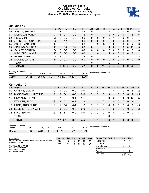# **Official Box Score Ole Miss vs Kentucky Fourth Quarter Statistics Only January 23, 2022 at Rupp Arena - Lexington**



# **Ole Miss 17**

| No. | Player                 | S | <b>Pts</b> | FG.      | 3FG     | <b>FT</b> | <b>OR</b>      | <b>DR</b> | TR | PF            | A            | TO | <b>Blk</b> | Stl           | Min         | $+/-$        |
|-----|------------------------|---|------------|----------|---------|-----------|----------------|-----------|----|---------------|--------------|----|------------|---------------|-------------|--------------|
| 00  | <b>AUSTIN, SHAKIRA</b> | С |            | $2 - 3$  | $0 - 0$ | $3 - 3$   | 0              | 3         | 3  | 2             |              | 0  | 0          | 0             |             | 6            |
| 01  | MONK, LASHONDA         | G |            | $0 - 1$  | $0 - 0$ | $1 - 2$   | 0              |           | 1  | $\mathcal{P}$ | 0            | 0  | 0          |               | 5           | 6            |
| 02  | REID, MIMI             | G | 0          | $0 - 0$  | $0 - 0$ | $0-0$     | 0              | 0         | 0  | 0             |              | 0  | 0          | 0             | 8           | 1            |
| 03  | JOHNSON, DONNETTA      | G | 2          | $1 - 1$  | $0 - 0$ | $0 - 0$   | $\Omega$       | $\Omega$  | 0  | $\Omega$      | $\mathbf{0}$ | 0  | $\Omega$   | $\mathbf{0}$  | 3           | 2            |
| 24  | <b>SCOTT, MADISON</b>  | F | 6          | $3-3$    | $0 - 0$ | $0 - 0$   | 1.             | 2         | 3  | 0             | 0            | 2  | 0          | 0             |             | 3            |
| 05  | <b>COLLINS, SNUDDA</b> | F | 0          | $0 - 2$  | $0 - 2$ | $0 - 0$   | 0              |           |    |               | $\mathbf{0}$ | 0  | 0          | 0             | 10          | 5            |
| 10  | <b>SALARY, DESTINY</b> | G | 0          | $0 - 0$  | $0 - 0$ | $0 - 0$   | 0              | 0         | 0  | 0             | 0            | 0  | 0          | 0             | $\mathbf 0$ | $\mathbf{0}$ |
| 11  | KITCHENS, IYANLA       | F | 0          | $0 - 0$  | $0 - 0$ | $0 - 0$   | 1              | $\Omega$  | 1  | 1             | 0            | 0  | $\Omega$   | 0             | 2           | $-1$         |
| 15  | <b>BAKER, ANGEL</b>    | G |            | $0 - 3$  | $0 - 0$ | $1-2$     | $\Omega$       |           | 1  | 0             |              |    | 0          |               |             | 3            |
| 32  | MCGEE, CAITLIN         | F | 0          | $0 - 0$  | $0 - 0$ | $0 - 0$   | $\Omega$       | $\Omega$  | 0  | $\Omega$      | $\mathbf{0}$ | 0  | $\Omega$   | $\mathbf{0}$  | $\Omega$    | $\mathbf{0}$ |
|     | <b>TEAM</b>            |   |            |          |         |           | 0              |           | 1  | 0             |              | 0  |            |               |             |              |
|     | <b>TOTALS</b>          |   | 17         | $6 - 13$ | $0 - 2$ | $5 - 7$   | $\overline{2}$ | 9         | 11 | 6             | 4            | 3  | 0          | $\mathcal{P}$ | 50          |              |
|     |                        |   |            |          |         |           |                |           |    |               |              |    |            |               |             |              |

| <b>Shooting By Period</b><br>Period | FG        | FG%   | 3FG | 3FG%  |          | FT%   | Deadball Rebounds: 4,0 |
|-------------------------------------|-----------|-------|-----|-------|----------|-------|------------------------|
| Game                                | $25 - 65$ | 38.5% | 4-9 | 44.4% | $9 - 12$ | 75.0% |                        |

# **Kentucky 12**

| No. | Player              | S  | <b>Pts</b>    | FG                | 3FG     | <b>FT</b> | <b>OR</b> | <b>DR</b>            | TR             | <b>PF</b>   | $\mathsf{A}$ | TO       | <b>Blk</b>     | Stl            | Min | $+/-$ |
|-----|---------------------|----|---------------|-------------------|---------|-----------|-----------|----------------------|----------------|-------------|--------------|----------|----------------|----------------|-----|-------|
| 00  | OWENS, OLIVIA       | С  | 0             | $0 - 2$           | $0 - 0$ | $0 - 0$   | 1         | 0                    |                | 1           | $\Omega$     |          | 0              | 0              | 5   | $-2$  |
| 03  | MASSENGILL, JAZMINE | G  | $\Omega$      | $0 - 1$           | $0 - 0$ | $0-0$     | 0         | 0                    | $\mathbf{0}$   | 3           |              | $\Omega$ | $\overline{0}$ | $\mathbf{0}$   | 9   | $-5$  |
| 10  | HOWARD, RHYNE       | G  | 7             | $3-6$             | $0 - 1$ | $1 - 1$   | 0         | 2                    | $\overline{2}$ | 0           | $\mathbf{0}$ | $\Omega$ | 1              | 0              | 10  | -5    |
| 11  | <b>WALKER, JADA</b> | G  | $\mathcal{P}$ | $0 - 4$           | $0 - 1$ | $2 - 2$   | 1         |                      | $\overline{2}$ | 1           | $\Omega$     | $\Omega$ | $\Omega$       | $\mathbf{0}$   | 9   | $-1$  |
|     | 12 HUNT, TREASURE   | G  |               | $0 - 2$           | $0 - 1$ | $1 - 2$   |           | 0                    |                | $\mathbf 0$ | $\mathbf{0}$ |          | 0              | $\mathbf 0$    | 8   | $-5$  |
| 21  | LEVERETTER, NYAH    | F. | $\Omega$      | $0 - 0$           | $0 - 0$ | $0 - 0$   | $\Omega$  | 2                    | 2              | 1           | $\mathbf{0}$ | $\Omega$ | $\Omega$       | $\overline{0}$ | 7   | $-3$  |
| 34  | KING, EMMA          | G  | $\mathcal{P}$ | $1 - 1$           | $0-0$   | $0 - 0$   | 0         | 0                    | $\Omega$       | $\Omega$    | 0            |          | $\Omega$       | 0              | 2   | $-4$  |
|     | <b>TEAM</b>         |    |               |                   |         |           | $\Omega$  | 0                    | $\Omega$       | $\mathbf 0$ |              | 0        |                |                |     |       |
|     | <b>TOTALS</b>       |    |               | $12 \quad 4 - 16$ | $0 - 3$ | $4 - 5$   | 3         | 5                    | 8              | 6           | 1            | 3        | 1              | $\mathbf{0}$   | 50  |       |
|     | Shooting By Period  |    |               |                   |         |           |           | <b>B.W.WB.L.W.AQ</b> |                |             |              |          |                |                |     |       |

| <b>Period</b> | FG        | FG%   | 3FG     | 3FG%     |         | FT%   | <i>Dead</i> |
|---------------|-----------|-------|---------|----------|---------|-------|-------------|
| Game          | $19 - 53$ | 35.8% | $0 - 6$ | $00.0\%$ | $16-22$ | 72.7% |             |

*Deadball Rebounds:* 8,3

| Game Notes:                                                              | <b>Score</b> | 1st l | 2nd | - 3rd | 4th | тот | <b>Points (This Period)</b> | UM           | UK            |
|--------------------------------------------------------------------------|--------------|-------|-----|-------|-----|-----|-----------------------------|--------------|---------------|
| Officials: Beverly Roberts, Gina Cross, Natasha Camy<br>Attendance: 5204 | UM           | 18    | 10  | 18    |     | 63  | In the Paint                | 10           |               |
|                                                                          | UK           | 13    |     |       | 12  | 54  | Off Turns                   |              |               |
| Start Time: 12:02 PM ET                                                  |              |       |     |       |     |     | 2nd Chance                  |              |               |
| End Time: 02:11 PM ET<br>Game Duration: 2:08                             |              |       |     |       |     |     | Fast Break                  |              |               |
| Conference Game:                                                         |              |       |     |       |     |     | Bench                       |              |               |
|                                                                          |              |       |     |       |     |     | Per Poss                    | .000<br>9/17 | 0.667<br>6/18 |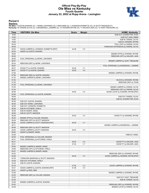# **Official Play-By-Play Ole Miss vs Kentucky Fourth Quarter January 23, 2022 at Rupp Arena - Lexington**



### **Period 4**

<mark>Starters:</mark><br>Ole Miss: 0 AUSTIN,SHAKIRA (C); 1 MONK,LASHONDA (G); 2 REID,MIMI (G); 3 JOHNSON,DONNETTA (G); 24 SCOTT,MADISON (F);<br>**Kentucky**: 00 OWENS,OLIVIA (C); 3 MASSENGILL,JAZMINE (G); 10 HOWARD,RHYNE (G); 11 WALKER,JADA

| Time           | <b>VISITORS: Ole Miss</b>               | <b>Score</b> | <b>Margin</b>  | <b>HOME: Kentucky</b>                                            |
|----------------|-----------------------------------------|--------------|----------------|------------------------------------------------------------------|
| 10:00          |                                         |              |                | SUB OUT: LEVERETTER, NYAH                                        |
| 10:00          |                                         |              |                | SUB OUT: KING, EMMA                                              |
| 10:00          |                                         |              |                | SUB IN: OWENS, OLIVIA                                            |
| 10:00          |                                         |              |                | SUB IN: HOWARD, RHYNE                                            |
| 09:39          |                                         |              |                | FOUL (OFF) by OWENS, OLIVIA                                      |
| 09:39          |                                         |              |                | TURNOVER (OFFENSIVE) by OWENS, OLIVIA                            |
| 09:25          | GOOD! JUMPER by JOHNSON, DONNETTA [PNT] | 42-48        | $V_6$          |                                                                  |
| 09:25<br>08:59 | ASSIST by AUSTIN, SHAKIRA               |              |                | MISSED 3PTR by HOWARD, RHYNE                                     |
| 08:56          |                                         |              |                | REBOUND (OFF) by WALKER, JADA                                    |
| 08:55          | FOUL (PERSONAL) by MONK, LASHONDA       |              |                |                                                                  |
| 08:37          |                                         |              |                | MISSED JUMPER by HUNT, TREASURE                                  |
| 08:34          | REBOUND (DEF) by MONK, LASHONDA         |              |                |                                                                  |
| 08:27          |                                         |              |                | FOUL (PERSONAL) by MASSENGILL, JAZMINE                           |
| 08:27          | GOOD! FT by AUSTIN, SHAKIRA             | 42-49        | V <sub>7</sub> |                                                                  |
| 08:27          | GOOD! FT by AUSTIN, SHAKIRA             | 42-50        | V8             |                                                                  |
| 07:59          |                                         |              |                | MISSED JUMPER by HOWARD, RHYNE                                   |
| 07:56          | REBOUND (DEF) by AUSTIN, SHAKIRA        |              |                |                                                                  |
| 07:32          | MISSED JUMPER by MONK, LASHONDA         |              |                |                                                                  |
| 07:32          |                                         |              |                | BLOCK by HOWARD, RHYNE                                           |
| 07:29          |                                         |              |                | REBOUND (DEF) by TEAM                                            |
| 07:29          | FOUL (PERSONAL) by MONK, LASHONDA       |              |                |                                                                  |
| 07:05<br>07:02 |                                         |              |                | MISSED JUMPER by OWENS, OLIVIA<br>REBOUND (OFF) by OWENS, OLIVIA |
| 06:58          |                                         | 44-50        | $V_6$          | GOOD! LAYUP by HOWARD, RHYNE [PNT]                               |
| 06:58          | FOUL (PERSONAL) by AUSTIN, SHAKIRA      |              |                |                                                                  |
| 06:58          |                                         |              |                | SUB OUT: OWENS, OLIVIA                                           |
| 06:58          |                                         |              |                | SUB IN: LEVERETTER, NYAH                                         |
| 06:58          | SUB OUT: AUSTIN, SHAKIRA                |              |                |                                                                  |
| 06:58          | SUB OUT: MONK, LASHONDA                 |              |                |                                                                  |
| 06:58          | SUB OUT: JOHNSON, DONNETTA              |              |                |                                                                  |
| 06:58          | SUB IN: KITCHENS, IYANLA                |              |                |                                                                  |
| 06:58          | SUB IN: BAKER, ANGEL                    |              |                |                                                                  |
| 06:58          | SUB IN: SCOTT, MADISON                  |              |                |                                                                  |
| 06:58          |                                         | 45-50        | V <sub>5</sub> | GOOD! FT by HOWARD, RHYNE                                        |
| 06:30          | MISSED 3PTR by COLLINS, SNUDDA          |              |                |                                                                  |
| 06:28          | REBOUND (OFF) by SCOTT, MADISON         |              |                |                                                                  |
| 06:26          | GOOD! JUMPER by SCOTT, MADISON [PNT]    | 45-52        | V <sub>7</sub> |                                                                  |
| 06:11<br>06:08 | REBOUND (DEF) by SCOTT, MADISON         |              |                | MISSED JUMPER by MASSENGILL, JAZMINE                             |
| 06:00          | GOOD! JUMPER by SCOTT, MADISON          | 45-54        | V <sub>9</sub> |                                                                  |
| 06:00          | ASSIST by BAKER, ANGEL                  |              |                |                                                                  |
| 05:58          |                                         |              |                | TIMEOUT 30SEC                                                    |
| 05:49          | FOUL (PERSONAL) by COLLINS, SNUDDA      |              |                |                                                                  |
| 05:31          | FOUL (PERSONAL) by KITCHENS, IYANLA     |              |                |                                                                  |
| 05:31          |                                         | 46-54        | V8             | GOOD! FT by WALKER, JADA                                         |
| 05:31          |                                         | 47-54        | V <sub>7</sub> | GOOD! FT by WALKER, JADA                                         |
| 05:00          | MISSED JUMPER by BAKER, ANGEL           |              |                |                                                                  |
| 04:58          | REBOUND (OFF) by KITCHENS, IYANLA       |              |                |                                                                  |
| 04:57          | MISSED JUMPER by BAKER, ANGEL           |              |                |                                                                  |
| 04:53          |                                         |              |                | REBOUND (DEF) by HOWARD, RHYNE                                   |
| 04:48          |                                         | 49-54        | V <sub>5</sub> | GOOD! JUMPER by HOWARD, RHYNE [PNT]                              |
| 04:38          | TURNOVER (BADPASS) by SCOTT, MADISON    |              |                |                                                                  |
| 04:38          | SUB OUT: KITCHENS, IYANLA               |              |                |                                                                  |
| 04:38<br>04:18 | SUB IN: AUSTIN, SHAKIRA                 | 51-54        | $V_3$          | GOOD! JUMPER by HOWARD, RHYNE                                    |
| 03:51          | GOOD! JUMPER by AUSTIN, SHAKIRA [PNT]   | 51-56        | V <sub>5</sub> |                                                                  |
| 03:51          | ASSIST by REID, MIMI                    |              |                |                                                                  |
| 03:38          |                                         |              |                | MISSED JUMPER by HOWARD, RHYNE                                   |
| 03:35          | REBOUND (DEF) by COLLINS, SNUDDA        |              |                |                                                                  |
| 03:35          |                                         |              |                | SUB OUT: HUNT, TREASURE                                          |
| 03:35          |                                         |              |                | SUB IN: OWENS, OLIVIA                                            |
| 03:09          | MISSED JUMPER by AUSTIN, SHAKIRA        |              |                |                                                                  |
| 03:03          |                                         |              |                | REBOUND (DEF) by HOWARD, RHYNE                                   |
| 02:59          |                                         |              |                | MISSED LAYUP by OWENS, OLIVIA                                    |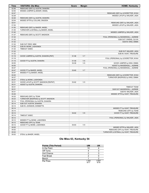| Time  | <b>VISITORS: Ole Miss</b>              | <b>Score</b> | <b>Margin</b>  | <b>HOME: Kentucky</b>                  |
|-------|----------------------------------------|--------------|----------------|----------------------------------------|
| 02:56 | REBOUND (DEF) by AUSTIN, SHAKIRA       |              |                |                                        |
| 02:50 | MISSED JUMPER by BAKER, ANGEL          |              |                |                                        |
| 02:47 |                                        |              |                | REBOUND (DEF) by LEVERETTER, NYAH      |
| 02:28 |                                        |              |                | MISSED LAYUP by WALKER, JADA           |
| 02:26 | REBOUND (DEF) by AUSTIN, SHAKIRA       |              |                |                                        |
| 02:04 | MISSED 3PTR by COLLINS, SNUDDA         |              |                |                                        |
| 02:01 |                                        |              |                | REBOUND (DEF) by WALKER, JADA          |
| 01:54 |                                        |              |                | MISSED LAYUP by WALKER, JADA           |
| 01:50 | REBOUND (DEF) by BAKER, ANGEL          |              |                |                                        |
| 01:45 | TURNOVER (LOSTBALL) by BAKER, ANGEL    |              |                |                                        |
| 01:40 |                                        |              |                | MISSED JUMPER by WALKER, JADA          |
| 01:37 | REBOUND (DEF) by SCOTT, MADISON        |              |                |                                        |
| 01:32 |                                        |              |                | FOUL (PERSONAL) by MASSENGILL, JAZMINE |
| 01:32 |                                        |              |                | SUB OUT: OWENS, OLIVIA                 |
| 01:32 |                                        |              |                | SUB IN: KING, EMMA                     |
| 01:32 | SUB OUT: REID, MIMI                    |              |                |                                        |
| 01:32 | SUB IN: MONK, LASHONDA                 |              |                |                                        |
| 01:32 | TIMEOUT 30SEC                          |              |                |                                        |
| 01:32 |                                        |              |                | SUB OUT: WALKER, JADA                  |
| 01:32 |                                        |              |                | SUB IN: HUNT, TREASURE                 |
| 01:19 | GOOD! JUMPER by AUSTIN, SHAKIRA [PNT]  | 51-58        | V <sub>7</sub> |                                        |
| 01:19 |                                        |              |                | FOUL (PERSONAL) by LEVERETTER, NYAH    |
| 01:19 | GOOD! FT by AUSTIN, SHAKIRA            | 51-59        | V8             |                                        |
| 00:55 |                                        | 53-59        | $V_6$          | GOOD! JUMPER by KING, EMMA             |
| 00:55 |                                        |              |                | ASSIST by MASSENGILL, JAZMINE          |
| 00:47 |                                        |              |                | FOUL (PERSONAL) by MASSENGILL, JAZMINE |
| 00:47 | GOOD! FT by BAKER, ANGEL               | 53-60        | V <sub>7</sub> |                                        |
| 00:47 | MISSED FT by BAKER, ANGEL              |              |                |                                        |
| 00:45 |                                        |              |                | REBOUND (DEF) by LEVERETTER, NYAH      |
| 00:37 |                                        |              |                | TURNOVER (BADPASS) by KING, EMMA       |
| 00:37 | STEAL by MONK, LASHONDA                |              |                |                                        |
| 00:31 | GOOD! LAYUP by SCOTT, MADISON [FB/PNT] | 53-62        | V <sub>9</sub> |                                        |
| 00:31 | ASSIST by AUSTIN, SHAKIRA              |              |                |                                        |
| 00:31 |                                        |              |                | <b>TIMEOUT TEAM</b>                    |
| 00:31 |                                        |              |                | SUB OUT: MASSENGILL, JAZMINE           |
| 00:31 |                                        |              |                | SUB IN: WALKER, JADA                   |
| 00:26 |                                        |              |                | MISSED 3PTR by HUNT, TREASURE          |
| 00:25 | REBOUND (DEF) by TEAM                  |              |                |                                        |
| 00:23 | TURNOVER (BADPASS) by SCOTT, MADISON   |              |                |                                        |
| 00:14 | FOUL (PERSONAL) by AUSTIN, SHAKIRA     |              |                |                                        |
| 00:14 | SUB OUT: AUSTIN, SHAKIRA               |              |                |                                        |
| 00:14 | SUB IN: JOHNSON, DONNETTA              |              |                |                                        |
| 00:14 |                                        |              |                | MISSED FT by HUNT, TREASURE            |
| 00:14 |                                        |              |                | REBOUND (OFF) by TEAM                  |
| 00:14 |                                        | 54-62        | V8             | GOOD! FT by HUNT, TREASURE             |
| 00:14 | TIMEOUT 30SEC                          |              |                |                                        |
| 00:12 |                                        |              |                | FOUL (PERSONAL) by WALKER, JADA        |
| 00:12 | MISSED FT by MONK, LASHONDA            |              |                |                                        |
| 00:12 | REBOUND (OFF) by TEAM                  |              |                |                                        |
| 00:12 | GOOD! FT by MONK, LASHONDA             | 54-63        | V <sub>9</sub> |                                        |
| 00:05 |                                        |              |                | MISSED 3PTR by WALKER, JADA            |
| 00:02 |                                        |              |                | REBOUND (OFF) by HUNT, TREASURE        |
| 00:02 |                                        |              |                | TURNOVER (LOSTBALL) by HUNT, TREASURE  |
| 00:02 | STEAL by BAKER, ANGEL                  |              |                |                                        |

# **Ole Miss 63, Kentucky 54**

| <b>Points (This Period)</b> | UM            | UK            |
|-----------------------------|---------------|---------------|
| In the Paint                | 10            |               |
| Off Turns                   |               |               |
| 2nd Chance                  |               | ว             |
| <b>Fast Break</b>           |               |               |
| Bench                       |               |               |
| Per Poss                    | 1.000<br>9/17 | 0.667<br>6/18 |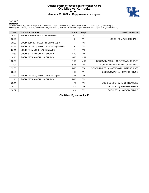### **Official Scoring/Possession Reference Chart Ole Miss vs Kentucky Period 1 January 23, 2022 at Rupp Arena - Lexington**



### **Period 1**

<mark>Starters:</mark><br>Ole Miss: 0 AUSTIN,SHAKIRA (C); 1 MONK,LASHONDA (G); 2 REID,MIMI (G); 3 JOHNSON,DONNETTA (G); 24 SCOTT,MADISON (F);<br>**Kentucky**: 00 OWENS,OLIVIA (C); 3 MASSENGILL,JAZMINE (G); 10 HOWARD,RHYNE (G); 11 WALKER,JADA

| <b>Time</b> | <b>VISITORS: Ole Miss</b>              | <b>Score</b> | <b>Margin</b>   | <b>HOME: Kentucky</b>                     |
|-------------|----------------------------------------|--------------|-----------------|-------------------------------------------|
| 08:44       | GOOD! JUMPER by AUSTIN, SHAKIRA        | $0 - 2$      | V <sub>2</sub>  |                                           |
| 06:26       |                                        | $1 - 2$      | V <sub>1</sub>  | GOOD! FT by WALKER, JADA                  |
| 06:00       | GOOD! JUMPER by AUSTIN, SHAKIRA [PNT]  | $1 - 4$      | $V_3$           |                                           |
| 05:11       | GOOD! LAYUP by MONK, LASHONDA [FB/PNT] | $1-6$        | V <sub>5</sub>  |                                           |
| 05:11       | GOOD! FT by MONK, LASHONDA [FB]        | $1 - 7$      | $V_6$           |                                           |
| 04:53       | GOOD! 3PTR by COLLINS, SNUDDA          | $1 - 10$     | V <sub>9</sub>  |                                           |
| 04:16       | GOOD! 3PTR by COLLINS, SNUDDA          | $1 - 13$     | V <sub>12</sub> |                                           |
| 03:53       |                                        | $3 - 13$     | $V$ 10          | GOOD! JUMPER by HUNT, TREASURE [PNT]      |
| 03:07       |                                        | $5 - 13$     | V8              | GOOD! LAYUP by OWENS, OLIVIA [PNT]        |
| 02:33       |                                        | $7 - 13$     | $V_6$           | GOOD! JUMPER by MASSENGILL, JAZMINE [PNT] |
| 02:05       |                                        | $9 - 13$     | V <sub>4</sub>  | GOOD! JUMPER by HOWARD, RHYNE             |
| 01:41       | GOOD! LAYUP by MONK, LASHONDA [PNT]    | $9 - 15$     | $V_6$           |                                           |
| 01:15       | GOOD! 3PTR by COLLINS, SNUDDA          | $9 - 18$     | V <sub>9</sub>  |                                           |
| 00:41       |                                        | $11 - 18$    | V <sub>7</sub>  | GOOD! JUMPER by HUNT, TREASURE            |
| 00:02       |                                        | $12 - 18$    | $V_6$           | GOOD! FT by HOWARD, RHYNE                 |
| 00:02       |                                        | $13 - 18$    | V <sub>5</sub>  | GOOD! FT by HOWARD, RHYNE                 |

**Ole Miss 18, Kentucky 13**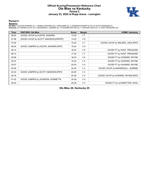### **Official Scoring/Possession Reference Chart Ole Miss vs Kentucky Period 2 January 23, 2022 at Rupp Arena - Lexington**



# **Period 2**

<mark>Starters:</mark><br>Ole Miss: 0 AUSTIN,SHAKIRA (C); 1 MONK,LASHONDA (G); 2 REID,MIMI (G); 3 JOHNSON,DONNETTA (G); 24 SCOTT,MADISON (F);<br>**Kentucky**: 00 OWENS,OLIVIA (C); 3 MASSENGILL,JAZMINE (G); 10 HOWARD,RHYNE (G); 11 WALKER,JADA

| <b>Time</b> | <b>VISITORS: Ole Miss</b>              | <b>Score</b> | <b>Margin</b>  | <b>HOME: Kentucky</b>              |
|-------------|----------------------------------------|--------------|----------------|------------------------------------|
| 08:54       | GOOD! LAYUP by AUSTIN, SHAKIRA         | 13-20        | V <sub>7</sub> |                                    |
| 07:46       | GOOD! LAYUP by SCOTT, MADISON [FB/PNT] | $13 - 22$    | V <sub>9</sub> |                                    |
| 07:02       |                                        | $15 - 22$    | V <sub>7</sub> | GOOD! LAYUP by WALKER, JADA [PNT]  |
| 06:45       | GOOD! JUMPER by AUSTIN, SHAKIRA [PNT]  | 15-24        | V <sub>9</sub> |                                    |
| 06:12       |                                        | $16 - 24$    | V8             | GOOD! FT by HUNT, TREASURE         |
| 06:12       |                                        | $17-24$      | V <sub>7</sub> | GOOD! FT by HUNT, TREASURE         |
| 05:48       |                                        | 18-24        | $V_6$          | GOOD! FT by HOWARD, RHYNE          |
| 03:07       |                                        | 19-24        | V <sub>5</sub> | GOOD! FT by HOWARD, RHYNE          |
| 03:07       |                                        | $20 - 24$    | V <sub>4</sub> | GOOD! FT by HOWARD, RHYNE          |
| 02:49       |                                        | $22 - 24$    | V <sub>2</sub> | GOOD! LAYUP by MASSENGILL, JAZMINE |
| 02:33       | GOOD! JUMPER by SCOTT, MADISON [PNT]   | $22 - 26$    | V <sub>4</sub> |                                    |
| 02:18       |                                        | 24-26        | V <sub>2</sub> | GOOD! LAYUP by HOWARD, RHYNE [PNT] |
| 01:42       | GOOD! JUMPER by JOHNSON, DONNETTA      | 24-28        | V <sub>4</sub> |                                    |
| 00:24       |                                        | $25 - 28$    | V <sub>3</sub> | GOOD! FT by LEVERETTER, NYAH       |

**Ole Miss 28, Kentucky 25**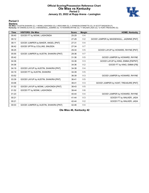# **Official Scoring/Possession Reference Chart Ole Miss vs Kentucky Period 3 January 23, 2022 at Rupp Arena - Lexington**



# **Period 3**

<mark>Starters:</mark><br>Ole Miss: 0 AUSTIN,SHAKIRA (C); 1 MONK,LASHONDA (G); 2 REID,MIMI (G); 3 JOHNSON,DONNETTA (G); 24 SCOTT,MADISON (F);<br>**Kentucky**: 00 OWENS,OLIVIA (C); 3 MASSENGILL,JAZMINE (G); 10 HOWARD,RHYNE (G); 11 WALKER,JADA

| <b>Time</b> | <b>VISITORS: Ole Miss</b>             | <b>Score</b> | <b>Margin</b>  | <b>HOME: Kentucky</b>                     |
|-------------|---------------------------------------|--------------|----------------|-------------------------------------------|
| 09:40       | GOOD! FT by MONK, LASHONDA            | 25-29        | V <sub>4</sub> |                                           |
| 09:12       |                                       | 27-29        | V <sub>2</sub> | GOOD! JUMPER by MASSENGILL, JAZMINE [PNT] |
| 08:11       | GOOD! JUMPER by BAKER, ANGEL [PNT]    | 27-31        | V <sub>4</sub> |                                           |
| 06:42       | GOOD! 3PTR by COLLINS, SNUDDA         | 27-34        | V <sub>7</sub> |                                           |
| 06:25       |                                       | 29-34        | V <sub>5</sub> | GOOD! LAYUP by HOWARD, RHYNE [PNT]        |
| 05:55       | GOOD! JUMPER by AUSTIN, SHAKIRA [PNT] | 29-36        | V <sub>7</sub> |                                           |
| 05:42       |                                       | $31 - 36$    | V <sub>5</sub> | GOOD! JUMPER by HOWARD, RHYNE             |
| 04:36       |                                       | 33-36        | V <sub>3</sub> | GOOD! LAYUP by KING, EMMA [FB/PNT]        |
| 04:36       |                                       | 34-36        | V <sub>2</sub> | GOOD! FT by KING, EMMA [FB]               |
| 04:19       | GOOD! LAYUP by AUSTIN, SHAKIRA [PNT]  | 34-38        | V <sub>4</sub> |                                           |
| 04:19       | GOOD! FT by AUSTIN, SHAKIRA           | 34-39        | V <sub>5</sub> |                                           |
| 03:52       |                                       | 36-39        | V <sub>3</sub> | GOOD! JUMPER by HOWARD, RHYNE             |
| 03:39       | GOOD! LAYUP by AUSTIN, SHAKIRA [PNT]  | 36-41        | V <sub>5</sub> |                                           |
| 03:06       |                                       | 38-41        | V <sub>3</sub> | GOOD! JUMPER by HUNT, TREASURE [PNT]      |
| 01:52       | GOOD! LAYUP by MONK, LASHONDA [PNT]   | 38-43        | V <sub>5</sub> |                                           |
| 01:52       | GOOD! FT by MONK, LASHONDA            | 38-44        | $V_6$          |                                           |
| 01:23       |                                       | 40-44        | V <sub>4</sub> | GOOD! JUMPER by HOWARD, RHYNE             |
| 00:21       |                                       | 41-44        | V <sub>3</sub> | GOOD! FT by WALKER, JADA                  |
| 00:21       |                                       | 42-44        | V <sub>2</sub> | GOOD! FT by WALKER, JADA                  |
| 00:03       | GOOD! JUMPER by AUSTIN, SHAKIRA [PNT] | 42-46        | V <sub>4</sub> |                                           |

**Ole Miss 46, Kentucky 42**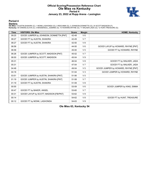### **Official Scoring/Possession Reference Chart Ole Miss vs Kentucky Period 4 January 23, 2022 at Rupp Arena - Lexington**



### **Period 4**

<mark>Starters:</mark><br>Ole Miss: 0 AUSTIN,SHAKIRA (C); 1 MONK,LASHONDA (G); 2 REID,MIMI (G); 3 JOHNSON,DONNETTA (G); 24 SCOTT,MADISON (F);<br>**Kentucky**: 00 OWENS,OLIVIA (C); 3 MASSENGILL,JAZMINE (G); 10 HOWARD,RHYNE (G); 11 WALKER,JADA

| <b>Time</b> | <b>VISITORS: Ole Miss</b>               | <b>Score</b> | <b>Margin</b>  | <b>HOME: Kentucky</b>               |
|-------------|-----------------------------------------|--------------|----------------|-------------------------------------|
| 09:25       | GOOD! JUMPER by JOHNSON, DONNETTA [PNT] | 42-48        | $V_6$          |                                     |
| 08:27       | GOOD! FT by AUSTIN, SHAKIRA             | 42-49        | V <sub>7</sub> |                                     |
| 08:27       | GOOD! FT by AUSTIN, SHAKIRA             | 42-50        | V8             |                                     |
| 06:58       |                                         | 44-50        | $V_6$          | GOOD! LAYUP by HOWARD, RHYNE [PNT]  |
| 06:58       |                                         | 45-50        | V <sub>5</sub> | GOOD! FT by HOWARD, RHYNE           |
| 06:26       | GOOD! JUMPER by SCOTT, MADISON [PNT]    | 45-52        | V <sub>7</sub> |                                     |
| 06:00       | GOOD! JUMPER by SCOTT, MADISON          | 45-54        | V <sub>9</sub> |                                     |
| 05:31       |                                         | 46-54        | $V_8$          | GOOD! FT by WALKER, JADA            |
| 05:31       |                                         | 47-54        | V <sub>7</sub> | GOOD! FT by WALKER, JADA            |
| 04:48       |                                         | 49-54        | V <sub>5</sub> | GOOD! JUMPER by HOWARD, RHYNE [PNT] |
| 04:18       |                                         | 51-54        | V <sub>3</sub> | GOOD! JUMPER by HOWARD, RHYNE       |
| 03:51       | GOOD! JUMPER by AUSTIN, SHAKIRA [PNT]   | 51-56        | V <sub>5</sub> |                                     |
| 01:19       | GOOD! JUMPER by AUSTIN, SHAKIRA [PNT]   | 51-58        | V <sub>7</sub> |                                     |
| 01:19       | GOOD! FT by AUSTIN, SHAKIRA             | 51-59        | V8             |                                     |
| 00:55       |                                         | 53-59        | $V_6$          | GOOD! JUMPER by KING, EMMA          |
| 00:47       | GOOD! FT by BAKER, ANGEL                | 53-60        | V <sub>7</sub> |                                     |
| 00:31       | GOOD! LAYUP by SCOTT, MADISON [FB/PNT]  | 53-62        | V <sub>9</sub> |                                     |
| 00:14       |                                         | 54-62        | V8             | GOOD! FT by HUNT, TREASURE          |
| 00:12       | GOOD! FT by MONK, LASHONDA              | 54-63        | V <sub>9</sub> |                                     |

**Ole Miss 63, Kentucky 54**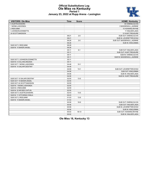### **Official Substitutions Log Ole Miss vs Kentucky Period 1 January 23, 2022 at Rupp Arena - Lexington**



| <b>VISITORS: Ole Miss</b>    | <b>Time</b> | <b>Score</b> | <b>HOME: Kentucky</b>        |
|------------------------------|-------------|--------------|------------------------------|
| 0 AUSTIN, SHAKIRA            |             |              | 00 OWENS.OLIVIA              |
| 1 MONK, LASHONDA             |             |              | 3 MASSENGILL, JAZMINE        |
| 2 REID, MIMI                 |             |              | 10 HOWARD, RHYNE             |
| 3 JOHNSON, DONNETTA          |             |              | 11 WALKER, JADA              |
| 24 SCOTT, MADISON            |             |              | 12 HUNT, TREASURE            |
|                              | 08:21       | $2 - 0$      | SUB OUT: OWENS, OLIVIA       |
|                              | 08:21       |              | SUB IN: LEVERETTER, NYAH     |
|                              | 06:26       | $2 - 0$      | SUB OUT: MASSENGILL, JAZMINE |
|                              | 06:26       |              | <b>SUB IN: KING, EMMA</b>    |
| SUB OUT: 2 REID, MIMI        | 06:26       |              |                              |
| SUB IN: 15 BAKER, ANGEL      | 06:26       |              |                              |
|                              | 05:11       | $6 - 1$      | SUB OUT: WALKER, JADA        |
|                              | 05:11       |              | SUB OUT: HUNT, TREASURE      |
|                              | 05:11       |              | SUB IN: OWENS, OLIVIA        |
|                              | 05:11       |              | SUB IN: MASSENGILL, JAZMINE  |
| SUB OUT: 3 JOHNSON, DONNETTA | 05:11       |              |                              |
| SUB IN: 5 COLLINS, SNUDDA    | 05:11       |              |                              |
| SUB OUT: 1 MONK, LASHONDA    | 04:48       | $10-1$       |                              |
| SUB IN: 10 SALARY, DESTINY   | 04:48       |              |                              |
|                              | 04:06       | $13 - 1$     | SUB OUT: LEVERETTER, NYAH    |
|                              | 04:06       |              | SUB OUT: KING, EMMA          |
|                              | 04:06       |              | SUB IN: WALKER.JADA          |
|                              | 04:06       |              | SUB IN: HUNT, TREASURE       |
| SUB OUT: 10 SALARY, DESTINY  | 02:55       | $13 - 5$     |                              |
| SUB OUT: 15 BAKER, ANGEL     | 02:55       |              |                              |
| SUB OUT: 24 SCOTT, MADISON   | 02:55       |              |                              |
| SUB IN: 1 MONK, LASHONDA     | 02:55       |              |                              |
| SUB IN: 2 REID, MIMI         | 02:55       |              |                              |
| SUB IN: 32 MCGEE, CAITLIN    | 02:55       |              |                              |
| SUB OUT: 0 AUSTIN, SHAKIRA   | 02:43       | $13 - 5$     |                              |
| SUB IN: 11 KITCHENS, IYANLA  | 02:43       |              |                              |
| SUB OUT: 2 REID, MIMI        | 01:53       | $13-9$       |                              |
| SUB IN: 15 BAKER, ANGEL      | 01:53       |              |                              |
|                              | 00:56       | 18-9         | SUB OUT: OWENS, OLIVIA       |
|                              | 00:56       |              | SUB OUT: WALKER, JADA        |
|                              | 00:56       |              | SUB IN: LEVERETTER, NYAH     |
|                              | 00:56       |              | SUB IN: KING, EMMA           |
|                              | 00:02       | $18 - 13$    | SUB OUT: HOWARD, RHYNE       |
|                              | 00:02       |              | SUB IN: WALKER, JADA         |

**Ole Miss 18, Kentucky 13**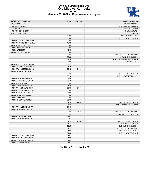### **Official Substitutions Log Ole Miss vs Kentucky Period 2 January 23, 2022 at Rupp Arena - Lexington**



| <b>VISITORS: Ole Miss</b>    | Time  | Score                    | <b>HOME: Kentucky</b>        |
|------------------------------|-------|--------------------------|------------------------------|
| 0 AUSTIN.SHAKIRA             |       |                          | 00 OWENS, OLIVIA             |
| 1 MONK, LASHONDA             |       |                          | 3 MASSENGILL, JAZMINE        |
| 2 REID.MIMI                  |       |                          | 10 HOWARD, RHYNE             |
| 3 JOHNSON, DONNETTA          |       |                          | 11 WALKER, JADA              |
| 24 SCOTT, MADISON            |       |                          | 12 HUNT, TREASURE            |
|                              | 10:00 | $\overline{\phantom{a}}$ | SUB OUT: KING, EMMA          |
|                              | 10:00 |                          | SUB IN: HOWARD, RHYNE        |
| SUB OUT: 1 MONK.LASHONDA     | 10:00 |                          |                              |
| SUB OUT: 11 KITCHENS, IYANLA | 10:00 |                          |                              |
| SUB OUT: 32 MCGEE, CAITLIN   | 10:00 |                          |                              |
| SUB IN: 0 AUSTIN.SHAKIRA     | 10:00 |                          |                              |
| SUB IN: 2 REID.MIMI          | 10:00 |                          |                              |
| SUB IN: 24 SCOTT, MADISON    | 10:00 |                          |                              |
|                              | 08:22 | $20 - 13$                | SUB OUT: LEVERETTER, NYAH    |
|                              | 08:22 |                          | SUB IN: OWENS, OLIVIA        |
|                              | 07:25 | $22 - 13$                | SUB OUT: MASSENGILL, JAZMINE |
|                              | 07:25 |                          | SUB IN: KING, EMMA           |
| SUB OUT: 5 COLLINS, SNUDDA   | 07:25 |                          |                              |
| SUB IN: 3 JOHNSON, DONNETTA  | 07:25 |                          |                              |
| SUB OUT: 24 SCOTT, MADISON   | 06:12 | $24 - 15$                |                              |
| SUB IN: 32 MCGEE, CAITLIN    | 06:12 |                          |                              |
|                              | 06:12 |                          | SUB OUT: HUNT, TREASURE      |
|                              | 06:12 |                          | SUB IN: LEVERETTER, NYAH     |
| SUB OUT: 0 AUSTIN, SHAKIRA   | 05:48 | $24 - 17$                |                              |
| SUB IN: 11 KITCHENS, IYANLA  | 05:48 |                          |                              |
| SUB OUT: 2 REID, MIMI        | 05:48 |                          |                              |
| SUB IN: 1 MONK, LASHONDA     | 05:48 |                          |                              |
| SUB OUT: 1 MONK, LASHONDA    | 05:00 | $24-18$                  |                              |
| SUB OUT: 11 KITCHENS, IYANLA | 05:00 |                          |                              |
| SUB OUT: 32 MCGEE, CAITLIN   | 05:00 |                          |                              |
| SUB IN: 0 AUSTIN, SHAKIRA    | 05:00 |                          |                              |
| SUB IN: 2 REID, MIMI         | 05:00 |                          |                              |
| SUB IN: 24 SCOTT, MADISON    | 05:00 |                          |                              |
|                              | 04:10 | $24-18$                  | SUB OUT: WALKER, JADA        |
|                              | 04:10 |                          | SUB IN: MASSENGILL, JAZMINE  |
| SUB OUT: 0 AUSTIN, SHAKIRA   | 04:10 |                          |                              |
| SUB IN: 5 COLLINS, SNUDDA    | 04:10 |                          |                              |
|                              | 03:29 | $24 - 18$                | SUB OUT: LEVERETTER, NYAH    |
|                              | 03:29 |                          | SUB IN: HUNT, TREASURE       |
| SUB OUT: 15 BAKER, ANGEL     | 03:07 | $24-18$                  |                              |
| SUB IN: 1 MONK, LASHONDA     | 03:07 |                          |                              |
|                              | 01:27 | 28-24                    | SUB OUT: HOWARD, RHYNE       |
|                              | 01:27 |                          | SUB IN: WALKER, JADA         |
|                              | 01:27 |                          | SUB OUT: OWENS, OLIVIA       |
|                              | 01:27 |                          | SUB IN: LEVERETTER, NYAH     |
|                              | 01:02 | 28-24                    | SUB OUT: WALKER, JADA        |
|                              | 01:02 |                          | SUB IN: HOWARD, RHYNE        |
| SUB OUT: 1 MONK, LASHONDA    | 01:02 |                          |                              |
| SUB OUT: 3 JOHNSON, DONNETTA | 01:02 |                          |                              |
| SUB IN: 11 KITCHENS, IYANLA  | 01:02 |                          |                              |
| SUB IN: 15 BAKER, ANGEL      | 01:02 |                          |                              |

**Ole Miss 28, Kentucky 25**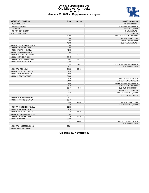### **Official Substitutions Log Ole Miss vs Kentucky Period 3 January 23, 2022 at Rupp Arena - Lexington**



| <b>VISITORS: Ole Miss</b>    | <b>Time</b> | <b>Score</b>   | <b>HOME: Kentucky</b>        |
|------------------------------|-------------|----------------|------------------------------|
| 0 AUSTIN, SHAKIRA            |             |                | 00 OWENS, OLIVIA             |
| 1 MONK, LASHONDA             |             |                | 3 MASSENGILL, JAZMINE        |
| 2 REID, MIMI                 |             |                | 10 HOWARD, RHYNE             |
| 3 JOHNSON, DONNETTA          |             |                | 11 WALKER, JADA              |
| 24 SCOTT, MADISON            |             |                | 12 HUNT, TREASURE            |
|                              | 10:00       | $\overline{a}$ | SUB OUT: LEVERETTER, NYAH    |
|                              | 10:00       |                | SUB OUT: KING, EMMA          |
|                              | 10:00       |                | SUB IN: OWENS, OLIVIA        |
|                              | 10:00       |                | SUB IN: WALKER, JADA         |
| SUB OUT: 11 KITCHENS, IYANLA | 10:00       |                |                              |
| SUB OUT: 15 BAKER, ANGEL     | 10:00       |                |                              |
| SUB IN: 0 AUSTIN, SHAKIRA    | 10:00       |                |                              |
| SUB IN: 1 MONK, LASHONDA     | 10:00       |                |                              |
| SUB OUT: 1 MONK, LASHONDA    | 08:47       | 29-27          |                              |
| SUB IN: 15 BAKER, ANGEL      | 08:47       |                |                              |
| SUB OUT: 24 SCOTT, MADISON   | 06:53       | $31 - 27$      |                              |
| SUB IN: 32 MCGEE, CAITLIN    | 06:53       |                |                              |
|                              | 06:37       | 34-27          | SUB OUT: MASSENGILL, JAZMINE |
|                              | 06:37       |                | <b>SUB IN: KING, EMMA</b>    |
| SUB OUT: 2 REID, MIMI        | 04:36       | 36-33          |                              |
| SUB OUT: 32 MCGEE, CAITLIN   | 04:36       |                |                              |
| SUB IN: 1 MONK, LASHONDA     | 04:36       |                |                              |
| SUB IN: 24 SCOTT, MADISON    | 04:36       |                |                              |
|                              | 04:36       |                | SUB OUT: WALKER, JADA        |
|                              | 04:36       |                | SUB OUT: HUNT, TREASURE      |
|                              | 04:36       |                | SUB IN: MASSENGILL, JAZMINE  |
|                              | 04:36       |                | SUB IN: LEVERETTER, NYAH     |
|                              | 03:11       | 41-36          | SUB OUT: OWENS, OLIVIA       |
|                              | 03:11       |                | SUB IN: HUNT, TREASURE       |
|                              | 03:11       |                | SUB OUT: HOWARD, RHYNE       |
|                              | 03:11       |                | SUB IN: WALKER, JADA         |
|                              |             |                |                              |
| SUB OUT: 0 AUSTIN, SHAKIRA   | 03:11       |                |                              |
| SUB IN: 11 KITCHENS.IYANLA   | 03:11       |                |                              |
|                              | 02:36       | 41-38          | SUB OUT: KING, EMMA          |
|                              | 02:36       |                | SUB IN: HOWARD.RHYNE         |
| SUB OUT: 11 KITCHENS, IYANLA | 02:36       |                |                              |
| SUB IN: 32 MCGEE, CAITLIN    | 02:36       |                |                              |
| SUB OUT: 32 MCGEE, CAITLIN   | 00:49       | 44-40          |                              |
| SUB IN: 3 JOHNSON, DONNETTA  | 00:49       |                |                              |
| SUB OUT: 15 BAKER, ANGEL     | 00:36       | 44-40          |                              |
| SUB IN: 2 REID, MIMI         | 00:36       |                |                              |
|                              | 00:21       | 44-40          | SUB OUT: HOWARD, RHYNE       |
|                              | 00:21       |                | <b>SUB IN: KING.EMMA</b>     |
| SUB OUT: 24 SCOTT.MADISON    | 00:21       |                |                              |
| SUB IN: 0 AUSTIN.SHAKIRA     | 00:21       |                |                              |

**Ole Miss 46, Kentucky 42**